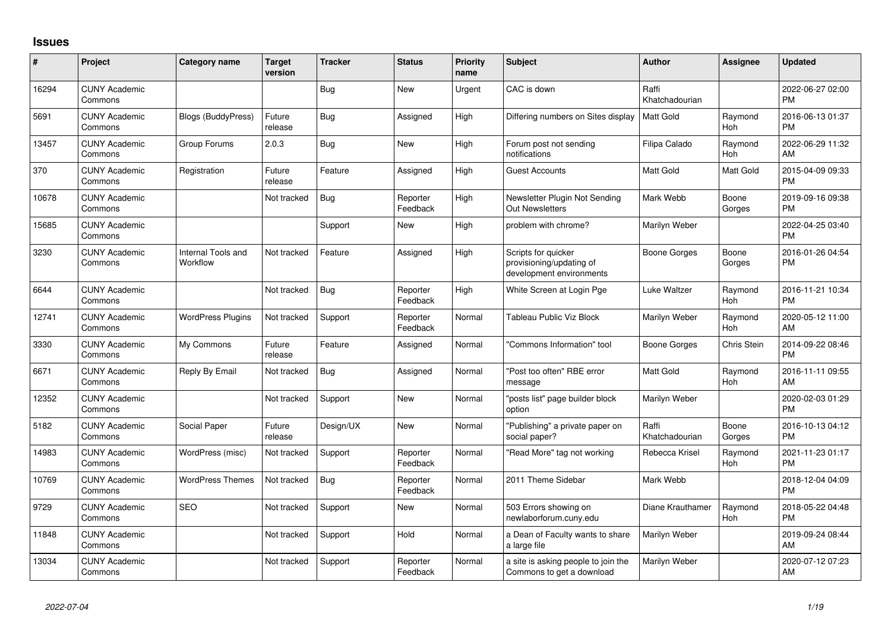## **Issues**

| #     | Project                         | <b>Category name</b>           | <b>Target</b><br>version | <b>Tracker</b> | <b>Status</b>        | <b>Priority</b><br>name | <b>Subject</b>                                                              | <b>Author</b>           | <b>Assignee</b> | <b>Updated</b>                |
|-------|---------------------------------|--------------------------------|--------------------------|----------------|----------------------|-------------------------|-----------------------------------------------------------------------------|-------------------------|-----------------|-------------------------------|
| 16294 | <b>CUNY Academic</b><br>Commons |                                |                          | <b>Bug</b>     | <b>New</b>           | Urgent                  | CAC is down                                                                 | Raffi<br>Khatchadourian |                 | 2022-06-27 02:00<br><b>PM</b> |
| 5691  | <b>CUNY Academic</b><br>Commons | <b>Blogs (BuddyPress)</b>      | Future<br>release        | <b>Bug</b>     | Assigned             | High                    | Differing numbers on Sites display                                          | Matt Gold               | Raymond<br>Hoh  | 2016-06-13 01:37<br><b>PM</b> |
| 13457 | <b>CUNY Academic</b><br>Commons | Group Forums                   | 2.0.3                    | Bug            | New                  | High                    | Forum post not sending<br>notifications                                     | Filipa Calado           | Raymond<br>Hoh  | 2022-06-29 11:32<br>AM        |
| 370   | <b>CUNY Academic</b><br>Commons | Registration                   | Future<br>release        | Feature        | Assigned             | High                    | Guest Accounts                                                              | Matt Gold               | Matt Gold       | 2015-04-09 09:33<br><b>PM</b> |
| 10678 | <b>CUNY Academic</b><br>Commons |                                | Not tracked              | Bug            | Reporter<br>Feedback | High                    | Newsletter Plugin Not Sending<br><b>Out Newsletters</b>                     | Mark Webb               | Boone<br>Gorges | 2019-09-16 09:38<br><b>PM</b> |
| 15685 | <b>CUNY Academic</b><br>Commons |                                |                          | Support        | New                  | High                    | problem with chrome?                                                        | Marilyn Weber           |                 | 2022-04-25 03:40<br><b>PM</b> |
| 3230  | <b>CUNY Academic</b><br>Commons | Internal Tools and<br>Workflow | Not tracked              | Feature        | Assigned             | High                    | Scripts for quicker<br>provisioning/updating of<br>development environments | Boone Gorges            | Boone<br>Gorges | 2016-01-26 04:54<br><b>PM</b> |
| 6644  | <b>CUNY Academic</b><br>Commons |                                | Not tracked              | Bug            | Reporter<br>Feedback | High                    | White Screen at Login Pge                                                   | Luke Waltzer            | Raymond<br>Hoh  | 2016-11-21 10:34<br><b>PM</b> |
| 12741 | <b>CUNY Academic</b><br>Commons | <b>WordPress Plugins</b>       | Not tracked              | Support        | Reporter<br>Feedback | Normal                  | Tableau Public Viz Block                                                    | Marilyn Weber           | Raymond<br>Hoh  | 2020-05-12 11:00<br>AM        |
| 3330  | <b>CUNY Academic</b><br>Commons | My Commons                     | Future<br>release        | Feature        | Assigned             | Normal                  | "Commons Information" tool                                                  | <b>Boone Gorges</b>     | Chris Stein     | 2014-09-22 08:46<br><b>PM</b> |
| 6671  | <b>CUNY Academic</b><br>Commons | Reply By Email                 | Not tracked              | Bug            | Assigned             | Normal                  | "Post too often" RBE error<br>message                                       | <b>Matt Gold</b>        | Raymond<br>Hoh  | 2016-11-11 09:55<br>AM        |
| 12352 | <b>CUNY Academic</b><br>Commons |                                | Not tracked              | Support        | <b>New</b>           | Normal                  | "posts list" page builder block<br>option                                   | Marilyn Weber           |                 | 2020-02-03 01:29<br><b>PM</b> |
| 5182  | <b>CUNY Academic</b><br>Commons | Social Paper                   | Future<br>release        | Design/UX      | New                  | Normal                  | "Publishing" a private paper on<br>social paper?                            | Raffi<br>Khatchadourian | Boone<br>Gorges | 2016-10-13 04:12<br><b>PM</b> |
| 14983 | <b>CUNY Academic</b><br>Commons | WordPress (misc)               | Not tracked              | Support        | Reporter<br>Feedback | Normal                  | "Read More" tag not working                                                 | Rebecca Krisel          | Raymond<br>Hoh  | 2021-11-23 01:17<br><b>PM</b> |
| 10769 | <b>CUNY Academic</b><br>Commons | <b>WordPress Themes</b>        | Not tracked              | <b>Bug</b>     | Reporter<br>Feedback | Normal                  | 2011 Theme Sidebar                                                          | Mark Webb               |                 | 2018-12-04 04:09<br><b>PM</b> |
| 9729  | <b>CUNY Academic</b><br>Commons | <b>SEO</b>                     | Not tracked              | Support        | <b>New</b>           | Normal                  | 503 Errors showing on<br>newlaborforum.cuny.edu                             | Diane Krauthamer        | Raymond<br>Hoh  | 2018-05-22 04:48<br><b>PM</b> |
| 11848 | <b>CUNY Academic</b><br>Commons |                                | Not tracked              | Support        | Hold                 | Normal                  | a Dean of Faculty wants to share<br>a large file                            | Marilyn Weber           |                 | 2019-09-24 08:44<br>AM        |
| 13034 | <b>CUNY Academic</b><br>Commons |                                | Not tracked              | Support        | Reporter<br>Feedback | Normal                  | a site is asking people to join the<br>Commons to get a download            | Marilyn Weber           |                 | 2020-07-12 07:23<br>AM        |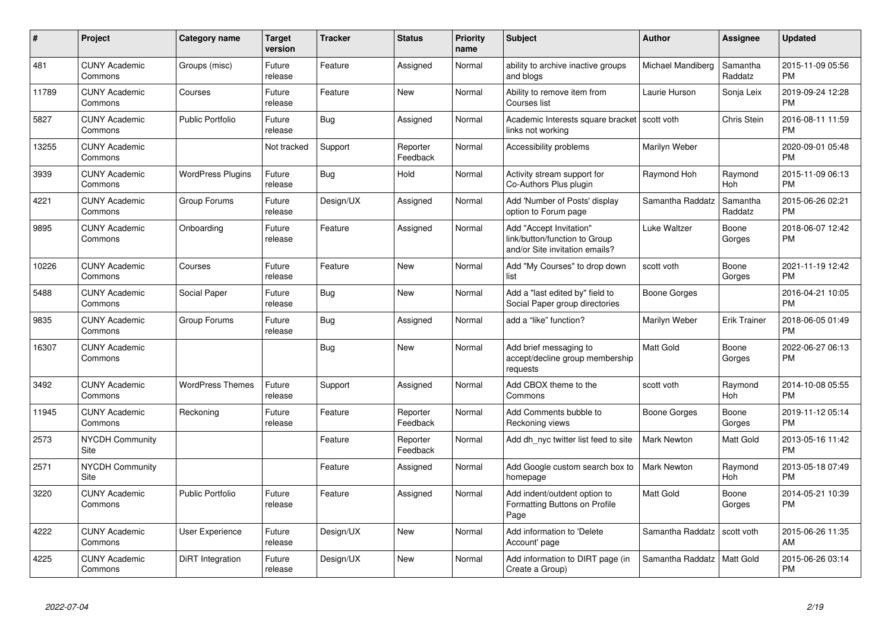| #     | Project                         | <b>Category name</b>     | <b>Target</b><br>version | <b>Tracker</b> | <b>Status</b>        | <b>Priority</b><br>name | <b>Subject</b>                                                                             | <b>Author</b>      | <b>Assignee</b>     | <b>Updated</b>                |
|-------|---------------------------------|--------------------------|--------------------------|----------------|----------------------|-------------------------|--------------------------------------------------------------------------------------------|--------------------|---------------------|-------------------------------|
| 481   | <b>CUNY Academic</b><br>Commons | Groups (misc)            | Future<br>release        | Feature        | Assigned             | Normal                  | ability to archive inactive groups<br>and blogs                                            | Michael Mandiberg  | Samantha<br>Raddatz | 2015-11-09 05:56<br><b>PM</b> |
| 11789 | <b>CUNY Academic</b><br>Commons | Courses                  | Future<br>release        | Feature        | <b>New</b>           | Normal                  | Ability to remove item from<br>Courses list                                                | Laurie Hurson      | Sonja Leix          | 2019-09-24 12:28<br><b>PM</b> |
| 5827  | <b>CUNY Academic</b><br>Commons | <b>Public Portfolio</b>  | Future<br>release        | <b>Bug</b>     | Assigned             | Normal                  | Academic Interests square bracket Scott voth<br>links not working                          |                    | <b>Chris Stein</b>  | 2016-08-11 11:59<br><b>PM</b> |
| 13255 | <b>CUNY Academic</b><br>Commons |                          | Not tracked              | Support        | Reporter<br>Feedback | Normal                  | Accessibility problems                                                                     | Marilyn Weber      |                     | 2020-09-01 05:48<br><b>PM</b> |
| 3939  | <b>CUNY Academic</b><br>Commons | <b>WordPress Plugins</b> | Future<br>release        | Bug            | Hold                 | Normal                  | Activity stream support for<br>Co-Authors Plus plugin                                      | Raymond Hoh        | Raymond<br>Hoh      | 2015-11-09 06:13<br><b>PM</b> |
| 4221  | <b>CUNY Academic</b><br>Commons | Group Forums             | Future<br>release        | Design/UX      | Assigned             | Normal                  | Add 'Number of Posts' display<br>option to Forum page                                      | Samantha Raddatz   | Samantha<br>Raddatz | 2015-06-26 02:21<br><b>PM</b> |
| 9895  | <b>CUNY Academic</b><br>Commons | Onboarding               | Future<br>release        | Feature        | Assigned             | Normal                  | Add "Accept Invitation"<br>link/button/function to Group<br>and/or Site invitation emails? | Luke Waltzer       | Boone<br>Gorges     | 2018-06-07 12:42<br><b>PM</b> |
| 10226 | <b>CUNY Academic</b><br>Commons | Courses                  | Future<br>release        | Feature        | New                  | Normal                  | Add "My Courses" to drop down<br>list                                                      | scott voth         | Boone<br>Gorges     | 2021-11-19 12:42<br><b>PM</b> |
| 5488  | <b>CUNY Academic</b><br>Commons | Social Paper             | Future<br>release        | Bug            | New                  | Normal                  | Add a "last edited by" field to<br>Social Paper group directories                          | Boone Gorges       |                     | 2016-04-21 10:05<br><b>PM</b> |
| 9835  | <b>CUNY Academic</b><br>Commons | Group Forums             | Future<br>release        | Bug            | Assigned             | Normal                  | add a "like" function?                                                                     | Marilyn Weber      | Erik Trainer        | 2018-06-05 01:49<br><b>PM</b> |
| 16307 | <b>CUNY Academic</b><br>Commons |                          |                          | <b>Bug</b>     | <b>New</b>           | Normal                  | Add brief messaging to<br>accept/decline group membership<br>requests                      | <b>Matt Gold</b>   | Boone<br>Gorges     | 2022-06-27 06:13<br><b>PM</b> |
| 3492  | <b>CUNY Academic</b><br>Commons | <b>WordPress Themes</b>  | Future<br>release        | Support        | Assigned             | Normal                  | Add CBOX theme to the<br>Commons                                                           | scott voth         | Raymond<br>Hoh      | 2014-10-08 05:55<br><b>PM</b> |
| 11945 | <b>CUNY Academic</b><br>Commons | Reckoning                | Future<br>release        | Feature        | Reporter<br>Feedback | Normal                  | Add Comments bubble to<br>Reckoning views                                                  | Boone Gorges       | Boone<br>Gorges     | 2019-11-12 05:14<br><b>PM</b> |
| 2573  | <b>NYCDH Community</b><br>Site  |                          |                          | Feature        | Reporter<br>Feedback | Normal                  | Add dh_nyc twitter list feed to site                                                       | <b>Mark Newton</b> | Matt Gold           | 2013-05-16 11:42<br><b>PM</b> |
| 2571  | <b>NYCDH Community</b><br>Site  |                          |                          | Feature        | Assigned             | Normal                  | Add Google custom search box to<br>homepage                                                | <b>Mark Newton</b> | Raymond<br>Hoh      | 2013-05-18 07:49<br><b>PM</b> |
| 3220  | <b>CUNY Academic</b><br>Commons | <b>Public Portfolio</b>  | Future<br>release        | Feature        | Assigned             | Normal                  | Add indent/outdent option to<br>Formatting Buttons on Profile<br>Page                      | <b>Matt Gold</b>   | Boone<br>Gorges     | 2014-05-21 10:39<br><b>PM</b> |
| 4222  | <b>CUNY Academic</b><br>Commons | <b>User Experience</b>   | Future<br>release        | Design/UX      | <b>New</b>           | Normal                  | Add information to 'Delete<br>Account' page                                                | Samantha Raddatz   | scott voth          | 2015-06-26 11:35<br>AM        |
| 4225  | <b>CUNY Academic</b><br>Commons | DiRT Integration         | Future<br>release        | Design/UX      | <b>New</b>           | Normal                  | Add information to DIRT page (in<br>Create a Group)                                        | Samantha Raddatz   | Matt Gold           | 2015-06-26 03:14<br><b>PM</b> |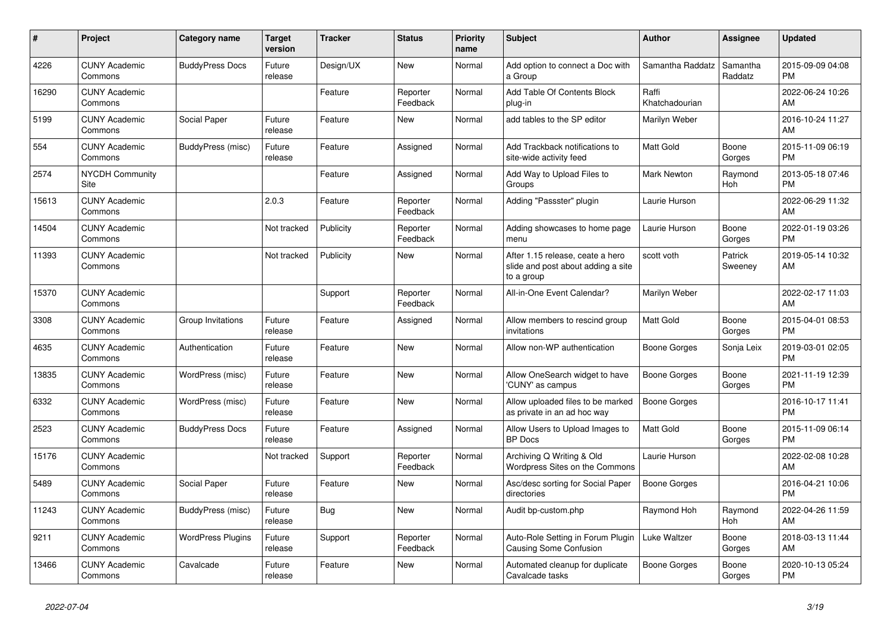| #     | Project                         | <b>Category name</b>     | Target<br>version | <b>Tracker</b> | <b>Status</b>        | <b>Priority</b><br>name | <b>Subject</b>                                                                       | <b>Author</b>           | Assignee            | <b>Updated</b>                |
|-------|---------------------------------|--------------------------|-------------------|----------------|----------------------|-------------------------|--------------------------------------------------------------------------------------|-------------------------|---------------------|-------------------------------|
| 4226  | <b>CUNY Academic</b><br>Commons | <b>BuddyPress Docs</b>   | Future<br>release | Design/UX      | New                  | Normal                  | Add option to connect a Doc with<br>a Group                                          | Samantha Raddatz        | Samantha<br>Raddatz | 2015-09-09 04:08<br><b>PM</b> |
| 16290 | <b>CUNY Academic</b><br>Commons |                          |                   | Feature        | Reporter<br>Feedback | Normal                  | Add Table Of Contents Block<br>plug-in                                               | Raffi<br>Khatchadourian |                     | 2022-06-24 10:26<br>AM.       |
| 5199  | <b>CUNY Academic</b><br>Commons | Social Paper             | Future<br>release | Feature        | <b>New</b>           | Normal                  | add tables to the SP editor                                                          | Marilyn Weber           |                     | 2016-10-24 11:27<br>AM        |
| 554   | <b>CUNY Academic</b><br>Commons | BuddyPress (misc)        | Future<br>release | Feature        | Assigned             | Normal                  | Add Trackback notifications to<br>site-wide activity feed                            | <b>Matt Gold</b>        | Boone<br>Gorges     | 2015-11-09 06:19<br><b>PM</b> |
| 2574  | <b>NYCDH Community</b><br>Site  |                          |                   | Feature        | Assigned             | Normal                  | Add Way to Upload Files to<br>Groups                                                 | <b>Mark Newton</b>      | Raymond<br>Hoh      | 2013-05-18 07:46<br><b>PM</b> |
| 15613 | <b>CUNY Academic</b><br>Commons |                          | 2.0.3             | Feature        | Reporter<br>Feedback | Normal                  | Adding "Passster" plugin                                                             | Laurie Hurson           |                     | 2022-06-29 11:32<br><b>AM</b> |
| 14504 | <b>CUNY Academic</b><br>Commons |                          | Not tracked       | Publicity      | Reporter<br>Feedback | Normal                  | Adding showcases to home page<br>menu                                                | Laurie Hurson           | Boone<br>Gorges     | 2022-01-19 03:26<br><b>PM</b> |
| 11393 | <b>CUNY Academic</b><br>Commons |                          | Not tracked       | Publicity      | <b>New</b>           | Normal                  | After 1.15 release, ceate a hero<br>slide and post about adding a site<br>to a group | scott voth              | Patrick<br>Sweeney  | 2019-05-14 10:32<br>AM        |
| 15370 | <b>CUNY Academic</b><br>Commons |                          |                   | Support        | Reporter<br>Feedback | Normal                  | All-in-One Event Calendar?                                                           | Marilyn Weber           |                     | 2022-02-17 11:03<br><b>AM</b> |
| 3308  | <b>CUNY Academic</b><br>Commons | Group Invitations        | Future<br>release | Feature        | Assigned             | Normal                  | Allow members to rescind group<br>invitations                                        | Matt Gold               | Boone<br>Gorges     | 2015-04-01 08:53<br><b>PM</b> |
| 4635  | <b>CUNY Academic</b><br>Commons | Authentication           | Future<br>release | Feature        | New                  | Normal                  | Allow non-WP authentication                                                          | Boone Gorges            | Sonja Leix          | 2019-03-01 02:05<br><b>PM</b> |
| 13835 | <b>CUNY Academic</b><br>Commons | WordPress (misc)         | Future<br>release | Feature        | <b>New</b>           | Normal                  | Allow OneSearch widget to have<br>'CUNY' as campus                                   | Boone Gorges            | Boone<br>Gorges     | 2021-11-19 12:39<br><b>PM</b> |
| 6332  | <b>CUNY Academic</b><br>Commons | WordPress (misc)         | Future<br>release | Feature        | <b>New</b>           | Normal                  | Allow uploaded files to be marked<br>as private in an ad hoc way                     | Boone Gorges            |                     | 2016-10-17 11:41<br><b>PM</b> |
| 2523  | <b>CUNY Academic</b><br>Commons | <b>BuddyPress Docs</b>   | Future<br>release | Feature        | Assigned             | Normal                  | Allow Users to Upload Images to<br><b>BP</b> Docs                                    | Matt Gold               | Boone<br>Gorges     | 2015-11-09 06:14<br><b>PM</b> |
| 15176 | <b>CUNY Academic</b><br>Commons |                          | Not tracked       | Support        | Reporter<br>Feedback | Normal                  | Archiving Q Writing & Old<br>Wordpress Sites on the Commons                          | Laurie Hurson           |                     | 2022-02-08 10:28<br>AM        |
| 5489  | <b>CUNY Academic</b><br>Commons | Social Paper             | Future<br>release | Feature        | <b>New</b>           | Normal                  | Asc/desc sorting for Social Paper<br>directories                                     | Boone Gorges            |                     | 2016-04-21 10:06<br><b>PM</b> |
| 11243 | <b>CUNY Academic</b><br>Commons | BuddyPress (misc)        | Future<br>release | Bug            | <b>New</b>           | Normal                  | Audit bp-custom.php                                                                  | Raymond Hoh             | Raymond<br>Hoh      | 2022-04-26 11:59<br><b>AM</b> |
| 9211  | <b>CUNY Academic</b><br>Commons | <b>WordPress Plugins</b> | Future<br>release | Support        | Reporter<br>Feedback | Normal                  | Auto-Role Setting in Forum Plugin<br><b>Causing Some Confusion</b>                   | Luke Waltzer            | Boone<br>Gorges     | 2018-03-13 11:44<br><b>AM</b> |
| 13466 | <b>CUNY Academic</b><br>Commons | Cavalcade                | Future<br>release | Feature        | <b>New</b>           | Normal                  | Automated cleanup for duplicate<br>Cavalcade tasks                                   | Boone Gorges            | Boone<br>Gorges     | 2020-10-13 05:24<br><b>PM</b> |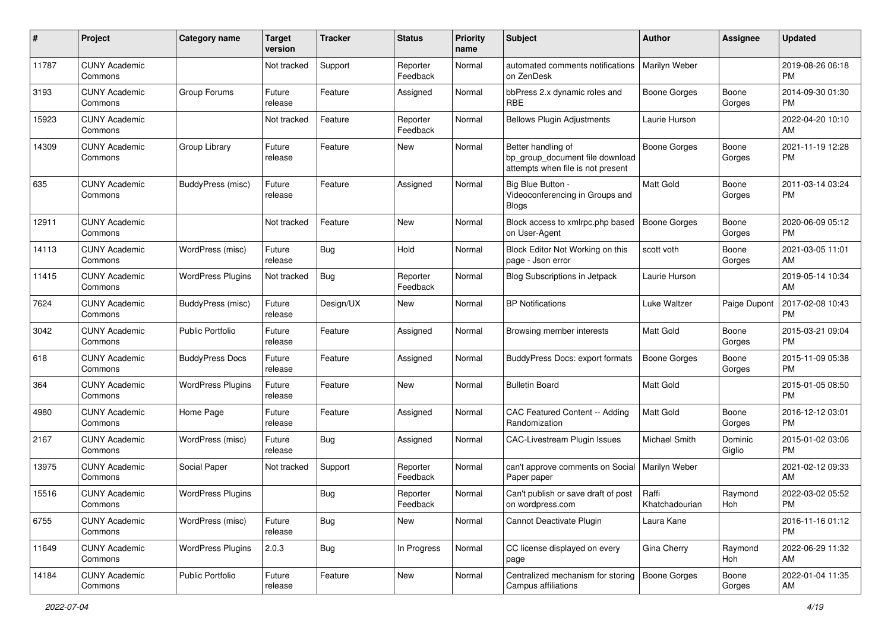| #     | Project                         | <b>Category name</b>     | <b>Target</b><br>version | Tracker    | <b>Status</b>        | <b>Priority</b><br>name | Subject                                                                                    | Author                  | Assignee          | <b>Updated</b>                |
|-------|---------------------------------|--------------------------|--------------------------|------------|----------------------|-------------------------|--------------------------------------------------------------------------------------------|-------------------------|-------------------|-------------------------------|
| 11787 | <b>CUNY Academic</b><br>Commons |                          | Not tracked              | Support    | Reporter<br>Feedback | Normal                  | automated comments notifications<br>on ZenDesk                                             | Marilyn Weber           |                   | 2019-08-26 06:18<br><b>PM</b> |
| 3193  | <b>CUNY Academic</b><br>Commons | Group Forums             | Future<br>release        | Feature    | Assigned             | Normal                  | bbPress 2.x dynamic roles and<br><b>RBE</b>                                                | <b>Boone Gorges</b>     | Boone<br>Gorges   | 2014-09-30 01:30<br>PM        |
| 15923 | <b>CUNY Academic</b><br>Commons |                          | Not tracked              | Feature    | Reporter<br>Feedback | Normal                  | <b>Bellows Plugin Adjustments</b>                                                          | Laurie Hurson           |                   | 2022-04-20 10:10<br>AM        |
| 14309 | <b>CUNY Academic</b><br>Commons | Group Library            | Future<br>release        | Feature    | New                  | Normal                  | Better handling of<br>bp_group_document file download<br>attempts when file is not present | <b>Boone Gorges</b>     | Boone<br>Gorges   | 2021-11-19 12:28<br>PM        |
| 635   | <b>CUNY Academic</b><br>Commons | BuddyPress (misc)        | Future<br>release        | Feature    | Assigned             | Normal                  | Big Blue Button -<br>Videoconferencing in Groups and<br>Blogs                              | Matt Gold               | Boone<br>Gorges   | 2011-03-14 03:24<br>PM        |
| 12911 | <b>CUNY Academic</b><br>Commons |                          | Not tracked              | Feature    | New                  | Normal                  | Block access to xmlrpc.php based<br>on User-Agent                                          | <b>Boone Gorges</b>     | Boone<br>Gorges   | 2020-06-09 05:12<br><b>PM</b> |
| 14113 | <b>CUNY Academic</b><br>Commons | WordPress (misc)         | Future<br>release        | <b>Bug</b> | Hold                 | Normal                  | Block Editor Not Working on this<br>page - Json error                                      | scott voth              | Boone<br>Gorges   | 2021-03-05 11:01<br>AM        |
| 11415 | <b>CUNY Academic</b><br>Commons | <b>WordPress Plugins</b> | Not tracked              | Bug        | Reporter<br>Feedback | Normal                  | <b>Blog Subscriptions in Jetpack</b>                                                       | Laurie Hurson           |                   | 2019-05-14 10:34<br>AM        |
| 7624  | <b>CUNY Academic</b><br>Commons | BuddyPress (misc)        | Future<br>release        | Design/UX  | New                  | Normal                  | <b>BP</b> Notifications                                                                    | Luke Waltzer            | Paige Dupont      | 2017-02-08 10:43<br><b>PM</b> |
| 3042  | <b>CUNY Academic</b><br>Commons | <b>Public Portfolio</b>  | Future<br>release        | Feature    | Assigned             | Normal                  | Browsing member interests                                                                  | <b>Matt Gold</b>        | Boone<br>Gorges   | 2015-03-21 09:04<br>PM        |
| 618   | <b>CUNY Academic</b><br>Commons | <b>BuddyPress Docs</b>   | Future<br>release        | Feature    | Assigned             | Normal                  | <b>BuddyPress Docs: export formats</b>                                                     | <b>Boone Gorges</b>     | Boone<br>Gorges   | 2015-11-09 05:38<br><b>PM</b> |
| 364   | <b>CUNY Academic</b><br>Commons | <b>WordPress Plugins</b> | Future<br>release        | Feature    | New                  | Normal                  | <b>Bulletin Board</b>                                                                      | <b>Matt Gold</b>        |                   | 2015-01-05 08:50<br><b>PM</b> |
| 4980  | <b>CUNY Academic</b><br>Commons | Home Page                | Future<br>release        | Feature    | Assigned             | Normal                  | CAC Featured Content -- Adding<br>Randomization                                            | Matt Gold               | Boone<br>Gorges   | 2016-12-12 03:01<br><b>PM</b> |
| 2167  | <b>CUNY Academic</b><br>Commons | WordPress (misc)         | Future<br>release        | Bug        | Assigned             | Normal                  | <b>CAC-Livestream Plugin Issues</b>                                                        | <b>Michael Smith</b>    | Dominic<br>Giglio | 2015-01-02 03:06<br><b>PM</b> |
| 13975 | <b>CUNY Academic</b><br>Commons | Social Paper             | Not tracked              | Support    | Reporter<br>Feedback | Normal                  | can't approve comments on Social   Marilyn Weber<br>Paper paper                            |                         |                   | 2021-02-12 09:33<br>AM        |
| 15516 | <b>CUNY Academic</b><br>Commons | <b>WordPress Plugins</b> |                          | <b>Bug</b> | Reporter<br>Feedback | Normal                  | Can't publish or save draft of post<br>on wordpress.com                                    | Raffi<br>Khatchadourian | Raymond<br>Hoh    | 2022-03-02 05:52<br>PM        |
| 6755  | <b>CUNY Academic</b><br>Commons | WordPress (misc)         | Future<br>release        | Bug        | New                  | Normal                  | Cannot Deactivate Plugin                                                                   | Laura Kane              |                   | 2016-11-16 01:12<br><b>PM</b> |
| 11649 | <b>CUNY Academic</b><br>Commons | <b>WordPress Plugins</b> | 2.0.3                    | <b>Bug</b> | In Progress          | Normal                  | CC license displayed on every<br>page                                                      | Gina Cherry             | Raymond<br>Hoh    | 2022-06-29 11:32<br>AM        |
| 14184 | <b>CUNY Academic</b><br>Commons | Public Portfolio         | Future<br>release        | Feature    | New                  | Normal                  | Centralized mechanism for storing<br>Campus affiliations                                   | Boone Gorges            | Boone<br>Gorges   | 2022-01-04 11:35<br>AM        |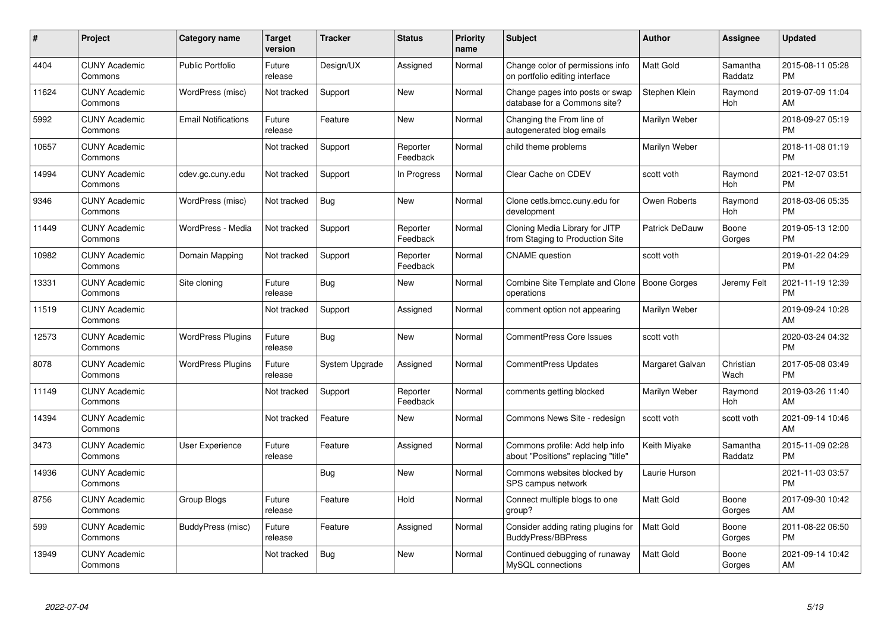| #     | <b>Project</b>                  | Category name              | <b>Target</b><br>version | <b>Tracker</b> | <b>Status</b>        | <b>Priority</b><br>name | <b>Subject</b>                                                        | <b>Author</b>         | Assignee            | <b>Updated</b>                |
|-------|---------------------------------|----------------------------|--------------------------|----------------|----------------------|-------------------------|-----------------------------------------------------------------------|-----------------------|---------------------|-------------------------------|
| 4404  | <b>CUNY Academic</b><br>Commons | <b>Public Portfolio</b>    | Future<br>release        | Design/UX      | Assigned             | Normal                  | Change color of permissions info<br>on portfolio editing interface    | <b>Matt Gold</b>      | Samantha<br>Raddatz | 2015-08-11 05:28<br><b>PM</b> |
| 11624 | <b>CUNY Academic</b><br>Commons | WordPress (misc)           | Not tracked              | Support        | New                  | Normal                  | Change pages into posts or swap<br>database for a Commons site?       | Stephen Klein         | Raymond<br>Hoh      | 2019-07-09 11:04<br>AM        |
| 5992  | <b>CUNY Academic</b><br>Commons | <b>Email Notifications</b> | Future<br>release        | Feature        | New                  | Normal                  | Changing the From line of<br>autogenerated blog emails                | Marilyn Weber         |                     | 2018-09-27 05:19<br><b>PM</b> |
| 10657 | <b>CUNY Academic</b><br>Commons |                            | Not tracked              | Support        | Reporter<br>Feedback | Normal                  | child theme problems                                                  | Marilyn Weber         |                     | 2018-11-08 01:19<br><b>PM</b> |
| 14994 | <b>CUNY Academic</b><br>Commons | cdev.gc.cuny.edu           | Not tracked              | Support        | In Progress          | Normal                  | Clear Cache on CDEV                                                   | scott voth            | Raymond<br>Hoh      | 2021-12-07 03:51<br><b>PM</b> |
| 9346  | <b>CUNY Academic</b><br>Commons | WordPress (misc)           | Not tracked              | Bug            | <b>New</b>           | Normal                  | Clone cetls.bmcc.cuny.edu for<br>development                          | Owen Roberts          | Raymond<br>Hoh      | 2018-03-06 05:35<br><b>PM</b> |
| 11449 | <b>CUNY Academic</b><br>Commons | WordPress - Media          | Not tracked              | Support        | Reporter<br>Feedback | Normal                  | Cloning Media Library for JITP<br>from Staging to Production Site     | <b>Patrick DeDauw</b> | Boone<br>Gorges     | 2019-05-13 12:00<br><b>PM</b> |
| 10982 | <b>CUNY Academic</b><br>Commons | Domain Mapping             | Not tracked              | Support        | Reporter<br>Feedback | Normal                  | <b>CNAME</b> question                                                 | scott voth            |                     | 2019-01-22 04:29<br><b>PM</b> |
| 13331 | <b>CUNY Academic</b><br>Commons | Site cloning               | Future<br>release        | Bug            | <b>New</b>           | Normal                  | Combine Site Template and Clone   Boone Gorges<br>operations          |                       | Jeremy Felt         | 2021-11-19 12:39<br><b>PM</b> |
| 11519 | <b>CUNY Academic</b><br>Commons |                            | Not tracked              | Support        | Assigned             | Normal                  | comment option not appearing                                          | Marilyn Weber         |                     | 2019-09-24 10:28<br>AM        |
| 12573 | <b>CUNY Academic</b><br>Commons | <b>WordPress Plugins</b>   | Future<br>release        | <b>Bug</b>     | <b>New</b>           | Normal                  | <b>CommentPress Core Issues</b>                                       | scott voth            |                     | 2020-03-24 04:32<br><b>PM</b> |
| 8078  | <b>CUNY Academic</b><br>Commons | <b>WordPress Plugins</b>   | Future<br>release        | System Upgrade | Assigned             | Normal                  | <b>CommentPress Updates</b>                                           | Margaret Galvan       | Christian<br>Wach   | 2017-05-08 03:49<br><b>PM</b> |
| 11149 | <b>CUNY Academic</b><br>Commons |                            | Not tracked              | Support        | Reporter<br>Feedback | Normal                  | comments getting blocked                                              | Marilyn Weber         | Raymond<br>Hoh      | 2019-03-26 11:40<br>AM        |
| 14394 | <b>CUNY Academic</b><br>Commons |                            | Not tracked              | Feature        | New                  | Normal                  | Commons News Site - redesign                                          | scott voth            | scott voth          | 2021-09-14 10:46<br>AM        |
| 3473  | <b>CUNY Academic</b><br>Commons | <b>User Experience</b>     | Future<br>release        | Feature        | Assigned             | Normal                  | Commons profile: Add help info<br>about "Positions" replacing "title" | Keith Miyake          | Samantha<br>Raddatz | 2015-11-09 02:28<br><b>PM</b> |
| 14936 | <b>CUNY Academic</b><br>Commons |                            |                          | Bug            | New                  | Normal                  | Commons websites blocked by<br>SPS campus network                     | Laurie Hurson         |                     | 2021-11-03 03:57<br><b>PM</b> |
| 8756  | <b>CUNY Academic</b><br>Commons | Group Blogs                | Future<br>release        | Feature        | Hold                 | Normal                  | Connect multiple blogs to one<br>group?                               | Matt Gold             | Boone<br>Gorges     | 2017-09-30 10:42<br>AM        |
| 599   | <b>CUNY Academic</b><br>Commons | BuddyPress (misc)          | Future<br>release        | Feature        | Assigned             | Normal                  | Consider adding rating plugins for<br><b>BuddyPress/BBPress</b>       | Matt Gold             | Boone<br>Gorges     | 2011-08-22 06:50<br><b>PM</b> |
| 13949 | <b>CUNY Academic</b><br>Commons |                            | Not tracked              | Bug            | <b>New</b>           | Normal                  | Continued debugging of runaway<br>MySQL connections                   | Matt Gold             | Boone<br>Gorges     | 2021-09-14 10:42<br>AM        |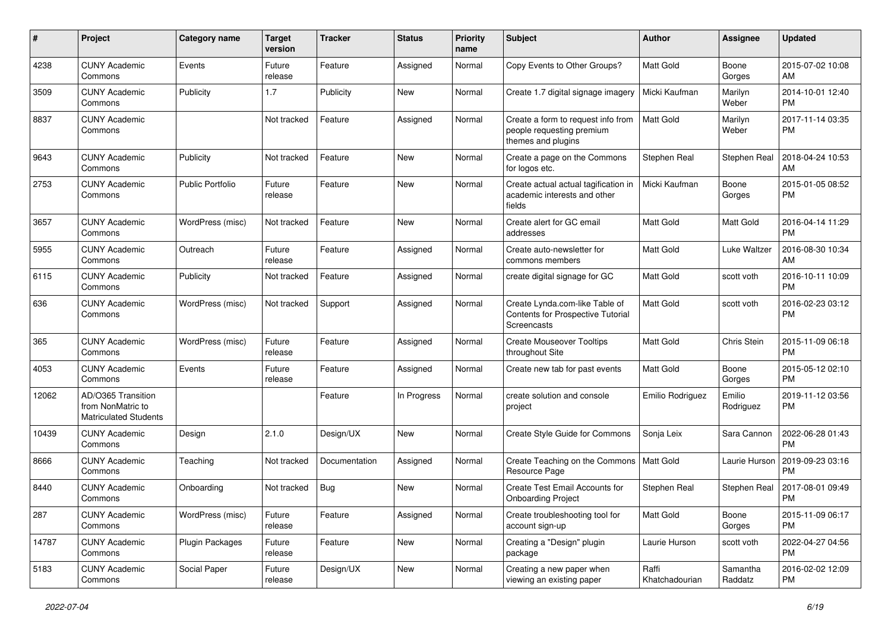| #     | Project                                                                 | <b>Category name</b>    | <b>Target</b><br>version | <b>Tracker</b> | <b>Status</b> | <b>Priority</b><br>name | Subject                                                                                   | Author                  | <b>Assignee</b>     | <b>Updated</b>                |
|-------|-------------------------------------------------------------------------|-------------------------|--------------------------|----------------|---------------|-------------------------|-------------------------------------------------------------------------------------------|-------------------------|---------------------|-------------------------------|
| 4238  | <b>CUNY Academic</b><br>Commons                                         | Events                  | Future<br>release        | Feature        | Assigned      | Normal                  | Copy Events to Other Groups?                                                              | <b>Matt Gold</b>        | Boone<br>Gorges     | 2015-07-02 10:08<br>AM        |
| 3509  | <b>CUNY Academic</b><br>Commons                                         | Publicity               | 1.7                      | Publicity      | New           | Normal                  | Create 1.7 digital signage imagery                                                        | Micki Kaufman           | Marilyn<br>Weber    | 2014-10-01 12:40<br><b>PM</b> |
| 8837  | <b>CUNY Academic</b><br>Commons                                         |                         | Not tracked              | Feature        | Assigned      | Normal                  | Create a form to request info from<br>people requesting premium<br>themes and plugins     | Matt Gold               | Marilyn<br>Weber    | 2017-11-14 03:35<br><b>PM</b> |
| 9643  | <b>CUNY Academic</b><br>Commons                                         | Publicity               | Not tracked              | Feature        | New           | Normal                  | Create a page on the Commons<br>for logos etc.                                            | Stephen Real            | Stephen Real        | 2018-04-24 10:53<br>AM        |
| 2753  | <b>CUNY Academic</b><br>Commons                                         | <b>Public Portfolio</b> | Future<br>release        | Feature        | <b>New</b>    | Normal                  | Create actual actual tagification in<br>academic interests and other<br>fields            | Micki Kaufman           | Boone<br>Gorges     | 2015-01-05 08:52<br>РM        |
| 3657  | <b>CUNY Academic</b><br>Commons                                         | WordPress (misc)        | Not tracked              | Feature        | New           | Normal                  | Create alert for GC email<br>addresses                                                    | Matt Gold               | Matt Gold           | 2016-04-14 11:29<br>PM        |
| 5955  | <b>CUNY Academic</b><br>Commons                                         | Outreach                | Future<br>release        | Feature        | Assigned      | Normal                  | Create auto-newsletter for<br>commons members                                             | <b>Matt Gold</b>        | Luke Waltzer        | 2016-08-30 10:34<br>AM        |
| 6115  | <b>CUNY Academic</b><br>Commons                                         | Publicity               | Not tracked              | Feature        | Assigned      | Normal                  | create digital signage for GC                                                             | Matt Gold               | scott voth          | 2016-10-11 10:09<br><b>PM</b> |
| 636   | <b>CUNY Academic</b><br>Commons                                         | WordPress (misc)        | Not tracked              | Support        | Assigned      | Normal                  | Create Lynda.com-like Table of<br>Contents for Prospective Tutorial<br><b>Screencasts</b> | Matt Gold               | scott voth          | 2016-02-23 03:12<br><b>PM</b> |
| 365   | <b>CUNY Academic</b><br>Commons                                         | WordPress (misc)        | Future<br>release        | Feature        | Assigned      | Normal                  | <b>Create Mouseover Tooltips</b><br>throughout Site                                       | Matt Gold               | Chris Stein         | 2015-11-09 06:18<br>PM        |
| 4053  | <b>CUNY Academic</b><br>Commons                                         | Events                  | Future<br>release        | Feature        | Assigned      | Normal                  | Create new tab for past events                                                            | Matt Gold               | Boone<br>Gorges     | 2015-05-12 02:10<br>PM        |
| 12062 | AD/O365 Transition<br>from NonMatric to<br><b>Matriculated Students</b> |                         |                          | Feature        | In Progress   | Normal                  | create solution and console<br>project                                                    | Emilio Rodriguez        | Emilio<br>Rodriguez | 2019-11-12 03:56<br>РM        |
| 10439 | <b>CUNY Academic</b><br>Commons                                         | Design                  | 2.1.0                    | Design/UX      | New           | Normal                  | Create Style Guide for Commons                                                            | Sonja Leix              | Sara Cannon         | 2022-06-28 01:43<br>PM        |
| 8666  | <b>CUNY Academic</b><br>Commons                                         | Teaching                | Not tracked              | Documentation  | Assigned      | Normal                  | Create Teaching on the Commons<br>Resource Page                                           | Matt Gold               | Laurie Hurson       | 2019-09-23 03:16<br><b>PM</b> |
| 8440  | <b>CUNY Academic</b><br>Commons                                         | Onboarding              | Not tracked              | Bug            | New           | Normal                  | Create Test Email Accounts for<br><b>Onboarding Project</b>                               | Stephen Real            | Stephen Real        | 2017-08-01 09:49<br><b>PM</b> |
| 287   | <b>CUNY Academic</b><br>Commons                                         | WordPress (misc)        | Future<br>release        | Feature        | Assigned      | Normal                  | Create troubleshooting tool for<br>account sign-up                                        | Matt Gold               | Boone<br>Gorges     | 2015-11-09 06:17<br>PM        |
| 14787 | <b>CUNY Academic</b><br>Commons                                         | Plugin Packages         | Future<br>release        | Feature        | <b>New</b>    | Normal                  | Creating a "Design" plugin<br>package                                                     | Laurie Hurson           | scott voth          | 2022-04-27 04:56<br>PM        |
| 5183  | <b>CUNY Academic</b><br>Commons                                         | Social Paper            | Future<br>release        | Design/UX      | New           | Normal                  | Creating a new paper when<br>viewing an existing paper                                    | Raffi<br>Khatchadourian | Samantha<br>Raddatz | 2016-02-02 12:09<br>PM        |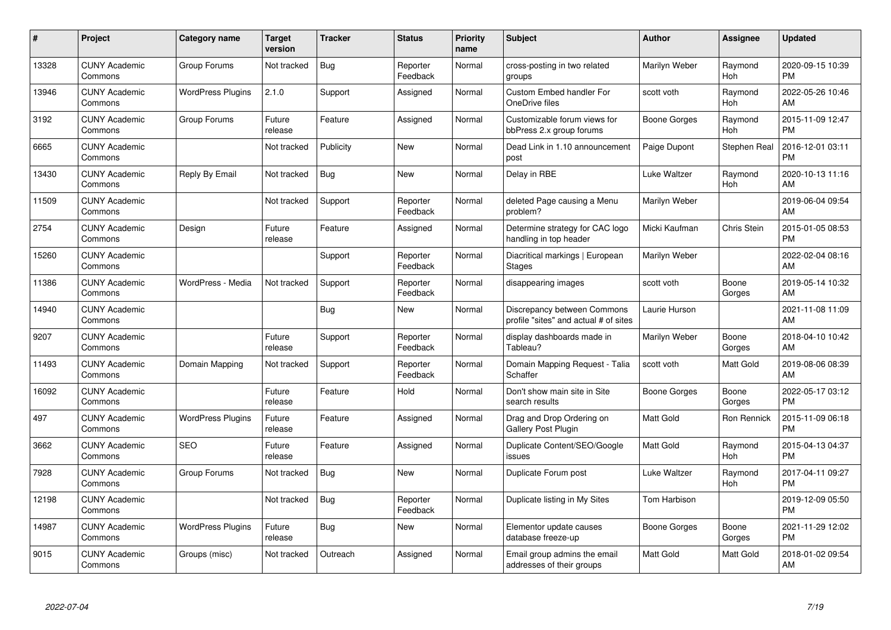| #     | <b>Project</b>                  | Category name            | <b>Target</b><br>version | <b>Tracker</b> | <b>Status</b>        | <b>Priority</b><br>name | <b>Subject</b>                                                       | <b>Author</b>       | Assignee        | <b>Updated</b>                |
|-------|---------------------------------|--------------------------|--------------------------|----------------|----------------------|-------------------------|----------------------------------------------------------------------|---------------------|-----------------|-------------------------------|
| 13328 | <b>CUNY Academic</b><br>Commons | Group Forums             | Not tracked              | Bug            | Reporter<br>Feedback | Normal                  | cross-posting in two related<br>groups                               | Marilyn Weber       | Raymond<br>Hoh  | 2020-09-15 10:39<br><b>PM</b> |
| 13946 | <b>CUNY Academic</b><br>Commons | <b>WordPress Plugins</b> | 2.1.0                    | Support        | Assigned             | Normal                  | Custom Embed handler For<br>OneDrive files                           | scott voth          | Raymond<br>Hoh  | 2022-05-26 10:46<br>AM        |
| 3192  | <b>CUNY Academic</b><br>Commons | Group Forums             | Future<br>release        | Feature        | Assigned             | Normal                  | Customizable forum views for<br>bbPress 2.x group forums             | Boone Gorges        | Raymond<br>Hoh  | 2015-11-09 12:47<br><b>PM</b> |
| 6665  | <b>CUNY Academic</b><br>Commons |                          | Not tracked              | Publicity      | New                  | Normal                  | Dead Link in 1.10 announcement<br>post                               | Paige Dupont        | Stephen Real    | 2016-12-01 03:11<br><b>PM</b> |
| 13430 | <b>CUNY Academic</b><br>Commons | Reply By Email           | Not tracked              | <b>Bug</b>     | <b>New</b>           | Normal                  | Delay in RBE                                                         | Luke Waltzer        | Raymond<br>Hoh  | 2020-10-13 11:16<br>AM        |
| 11509 | <b>CUNY Academic</b><br>Commons |                          | Not tracked              | Support        | Reporter<br>Feedback | Normal                  | deleted Page causing a Menu<br>problem?                              | Marilyn Weber       |                 | 2019-06-04 09:54<br>AM        |
| 2754  | <b>CUNY Academic</b><br>Commons | Design                   | Future<br>release        | Feature        | Assigned             | Normal                  | Determine strategy for CAC logo<br>handling in top header            | Micki Kaufman       | Chris Stein     | 2015-01-05 08:53<br><b>PM</b> |
| 15260 | <b>CUNY Academic</b><br>Commons |                          |                          | Support        | Reporter<br>Feedback | Normal                  | Diacritical markings   European<br><b>Stages</b>                     | Marilyn Weber       |                 | 2022-02-04 08:16<br>AM        |
| 11386 | <b>CUNY Academic</b><br>Commons | WordPress - Media        | Not tracked              | Support        | Reporter<br>Feedback | Normal                  | disappearing images                                                  | scott voth          | Boone<br>Gorges | 2019-05-14 10:32<br>AM        |
| 14940 | <b>CUNY Academic</b><br>Commons |                          |                          | Bug            | <b>New</b>           | Normal                  | Discrepancy between Commons<br>profile "sites" and actual # of sites | Laurie Hurson       |                 | 2021-11-08 11:09<br>AM        |
| 9207  | <b>CUNY Academic</b><br>Commons |                          | Future<br>release        | Support        | Reporter<br>Feedback | Normal                  | display dashboards made in<br>Tableau?                               | Marilyn Weber       | Boone<br>Gorges | 2018-04-10 10:42<br>AM        |
| 11493 | <b>CUNY Academic</b><br>Commons | Domain Mapping           | Not tracked              | Support        | Reporter<br>Feedback | Normal                  | Domain Mapping Request - Talia<br>Schaffer                           | scott voth          | Matt Gold       | 2019-08-06 08:39<br>AM        |
| 16092 | <b>CUNY Academic</b><br>Commons |                          | Future<br>release        | Feature        | Hold                 | Normal                  | Don't show main site in Site<br>search results                       | Boone Gorges        | Boone<br>Gorges | 2022-05-17 03:12<br><b>PM</b> |
| 497   | <b>CUNY Academic</b><br>Commons | <b>WordPress Plugins</b> | Future<br>release        | Feature        | Assigned             | Normal                  | Drag and Drop Ordering on<br><b>Gallery Post Plugin</b>              | <b>Matt Gold</b>    | Ron Rennick     | 2015-11-09 06:18<br><b>PM</b> |
| 3662  | <b>CUNY Academic</b><br>Commons | <b>SEO</b>               | Future<br>release        | Feature        | Assigned             | Normal                  | Duplicate Content/SEO/Google<br>issues                               | <b>Matt Gold</b>    | Raymond<br>Hoh  | 2015-04-13 04:37<br><b>PM</b> |
| 7928  | <b>CUNY Academic</b><br>Commons | Group Forums             | Not tracked              | <b>Bug</b>     | New                  | Normal                  | Duplicate Forum post                                                 | Luke Waltzer        | Raymond<br>Hoh  | 2017-04-11 09:27<br><b>PM</b> |
| 12198 | <b>CUNY Academic</b><br>Commons |                          | Not tracked              | Bug            | Reporter<br>Feedback | Normal                  | Duplicate listing in My Sites                                        | Tom Harbison        |                 | 2019-12-09 05:50<br><b>PM</b> |
| 14987 | <b>CUNY Academic</b><br>Commons | <b>WordPress Plugins</b> | Future<br>release        | <b>Bug</b>     | New                  | Normal                  | Elementor update causes<br>database freeze-up                        | <b>Boone Gorges</b> | Boone<br>Gorges | 2021-11-29 12:02<br><b>PM</b> |
| 9015  | <b>CUNY Academic</b><br>Commons | Groups (misc)            | Not tracked              | Outreach       | Assigned             | Normal                  | Email group admins the email<br>addresses of their groups            | Matt Gold           | Matt Gold       | 2018-01-02 09:54<br>AM        |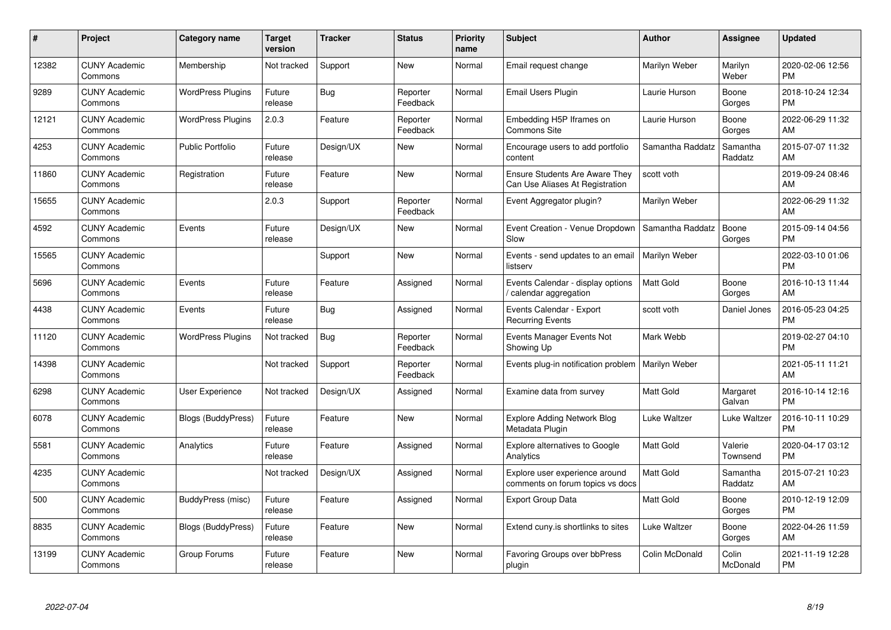| #     | Project                         | <b>Category name</b>      | Target<br>version | <b>Tracker</b> | <b>Status</b>        | Priority<br>name | <b>Subject</b>                                                           | <b>Author</b>    | <b>Assignee</b>     | <b>Updated</b>                |
|-------|---------------------------------|---------------------------|-------------------|----------------|----------------------|------------------|--------------------------------------------------------------------------|------------------|---------------------|-------------------------------|
| 12382 | <b>CUNY Academic</b><br>Commons | Membership                | Not tracked       | Support        | <b>New</b>           | Normal           | Email request change                                                     | Marilyn Weber    | Marilyn<br>Weber    | 2020-02-06 12:56<br><b>PM</b> |
| 9289  | <b>CUNY Academic</b><br>Commons | <b>WordPress Plugins</b>  | Future<br>release | Bug            | Reporter<br>Feedback | Normal           | Email Users Plugin                                                       | Laurie Hurson    | Boone<br>Gorges     | 2018-10-24 12:34<br><b>PM</b> |
| 12121 | <b>CUNY Academic</b><br>Commons | <b>WordPress Plugins</b>  | 2.0.3             | Feature        | Reporter<br>Feedback | Normal           | Embedding H5P Iframes on<br><b>Commons Site</b>                          | Laurie Hurson    | Boone<br>Gorges     | 2022-06-29 11:32<br>AM        |
| 4253  | <b>CUNY Academic</b><br>Commons | <b>Public Portfolio</b>   | Future<br>release | Design/UX      | <b>New</b>           | Normal           | Encourage users to add portfolio<br>content                              | Samantha Raddatz | Samantha<br>Raddatz | 2015-07-07 11:32<br>AM        |
| 11860 | <b>CUNY Academic</b><br>Commons | Registration              | Future<br>release | Feature        | <b>New</b>           | Normal           | <b>Ensure Students Are Aware They</b><br>Can Use Aliases At Registration | scott voth       |                     | 2019-09-24 08:46<br>AM        |
| 15655 | <b>CUNY Academic</b><br>Commons |                           | 2.0.3             | Support        | Reporter<br>Feedback | Normal           | Event Aggregator plugin?                                                 | Marilyn Weber    |                     | 2022-06-29 11:32<br>AM        |
| 4592  | <b>CUNY Academic</b><br>Commons | Events                    | Future<br>release | Design/UX      | <b>New</b>           | Normal           | Event Creation - Venue Dropdown<br>Slow                                  | Samantha Raddatz | Boone<br>Gorges     | 2015-09-14 04:56<br><b>PM</b> |
| 15565 | <b>CUNY Academic</b><br>Commons |                           |                   | Support        | <b>New</b>           | Normal           | Events - send updates to an email<br>listserv                            | Marilyn Weber    |                     | 2022-03-10 01:06<br><b>PM</b> |
| 5696  | <b>CUNY Academic</b><br>Commons | Events                    | Future<br>release | Feature        | Assigned             | Normal           | Events Calendar - display options<br>calendar aggregation                | <b>Matt Gold</b> | Boone<br>Gorges     | 2016-10-13 11:44<br>AM        |
| 4438  | <b>CUNY Academic</b><br>Commons | Events                    | Future<br>release | <b>Bug</b>     | Assigned             | Normal           | Events Calendar - Export<br><b>Recurring Events</b>                      | scott voth       | Daniel Jones        | 2016-05-23 04:25<br>PM        |
| 11120 | <b>CUNY Academic</b><br>Commons | <b>WordPress Plugins</b>  | Not tracked       | Bug            | Reporter<br>Feedback | Normal           | Events Manager Events Not<br>Showing Up                                  | Mark Webb        |                     | 2019-02-27 04:10<br><b>PM</b> |
| 14398 | <b>CUNY Academic</b><br>Commons |                           | Not tracked       | Support        | Reporter<br>Feedback | Normal           | Events plug-in notification problem                                      | Marilyn Weber    |                     | 2021-05-11 11:21<br>AM        |
| 6298  | <b>CUNY Academic</b><br>Commons | User Experience           | Not tracked       | Design/UX      | Assigned             | Normal           | Examine data from survey                                                 | Matt Gold        | Margaret<br>Galvan  | 2016-10-14 12:16<br>PM.       |
| 6078  | <b>CUNY Academic</b><br>Commons | Blogs (BuddyPress)        | Future<br>release | Feature        | New                  | Normal           | <b>Explore Adding Network Blog</b><br>Metadata Plugin                    | Luke Waltzer     | Luke Waltzer        | 2016-10-11 10:29<br><b>PM</b> |
| 5581  | <b>CUNY Academic</b><br>Commons | Analytics                 | Future<br>release | Feature        | Assigned             | Normal           | <b>Explore alternatives to Google</b><br>Analytics                       | Matt Gold        | Valerie<br>Townsend | 2020-04-17 03:12<br><b>PM</b> |
| 4235  | <b>CUNY Academic</b><br>Commons |                           | Not tracked       | Design/UX      | Assigned             | Normal           | Explore user experience around<br>comments on forum topics vs docs       | Matt Gold        | Samantha<br>Raddatz | 2015-07-21 10:23<br>AM        |
| 500   | <b>CUNY Academic</b><br>Commons | BuddyPress (misc)         | Future<br>release | Feature        | Assigned             | Normal           | <b>Export Group Data</b>                                                 | <b>Matt Gold</b> | Boone<br>Gorges     | 2010-12-19 12:09<br><b>PM</b> |
| 8835  | <b>CUNY Academic</b><br>Commons | <b>Blogs (BuddyPress)</b> | Future<br>release | Feature        | New                  | Normal           | Extend cuny is shortlinks to sites                                       | Luke Waltzer     | Boone<br>Gorges     | 2022-04-26 11:59<br>AM        |
| 13199 | <b>CUNY Academic</b><br>Commons | Group Forums              | Future<br>release | Feature        | <b>New</b>           | Normal           | Favoring Groups over bbPress<br>plugin                                   | Colin McDonald   | Colin<br>McDonald   | 2021-11-19 12:28<br>PM        |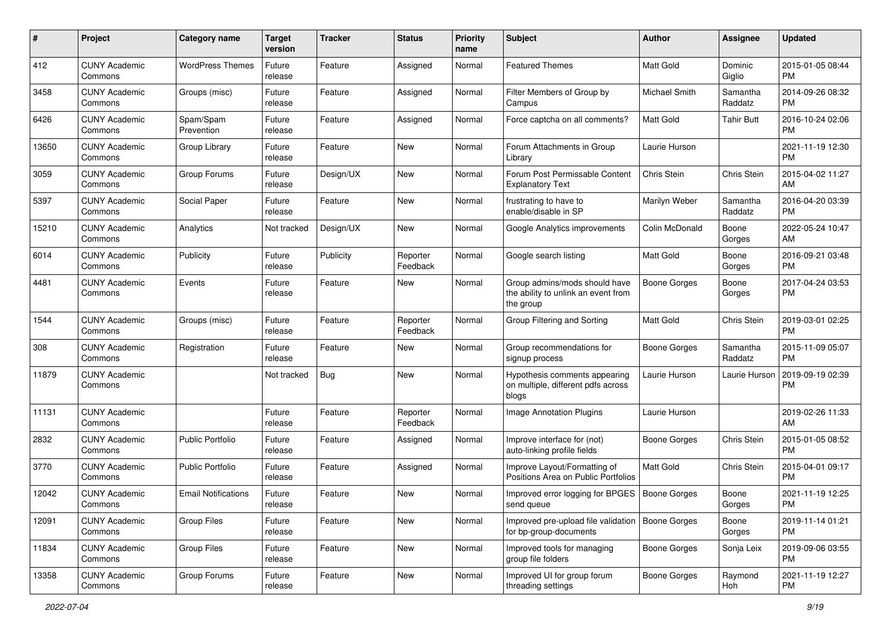| #     | Project                         | <b>Category name</b>       | <b>Target</b><br>version | <b>Tracker</b> | <b>Status</b>        | Priority<br>name | <b>Subject</b>                                                                    | Author              | <b>Assignee</b>     | <b>Updated</b>                |
|-------|---------------------------------|----------------------------|--------------------------|----------------|----------------------|------------------|-----------------------------------------------------------------------------------|---------------------|---------------------|-------------------------------|
| 412   | <b>CUNY Academic</b><br>Commons | <b>WordPress Themes</b>    | Future<br>release        | Feature        | Assigned             | Normal           | <b>Featured Themes</b>                                                            | <b>Matt Gold</b>    | Dominic<br>Giglio   | 2015-01-05 08:44<br><b>PM</b> |
| 3458  | <b>CUNY Academic</b><br>Commons | Groups (misc)              | Future<br>release        | Feature        | Assigned             | Normal           | Filter Members of Group by<br>Campus                                              | Michael Smith       | Samantha<br>Raddatz | 2014-09-26 08:32<br><b>PM</b> |
| 6426  | <b>CUNY Academic</b><br>Commons | Spam/Spam<br>Prevention    | Future<br>release        | Feature        | Assigned             | Normal           | Force captcha on all comments?                                                    | Matt Gold           | <b>Tahir Butt</b>   | 2016-10-24 02:06<br><b>PM</b> |
| 13650 | <b>CUNY Academic</b><br>Commons | Group Library              | Future<br>release        | Feature        | New                  | Normal           | Forum Attachments in Group<br>Library                                             | Laurie Hurson       |                     | 2021-11-19 12:30<br><b>PM</b> |
| 3059  | <b>CUNY Academic</b><br>Commons | Group Forums               | Future<br>release        | Design/UX      | <b>New</b>           | Normal           | Forum Post Permissable Content<br><b>Explanatory Text</b>                         | Chris Stein         | Chris Stein         | 2015-04-02 11:27<br>AM        |
| 5397  | <b>CUNY Academic</b><br>Commons | Social Paper               | Future<br>release        | Feature        | New                  | Normal           | frustrating to have to<br>enable/disable in SP                                    | Marilyn Weber       | Samantha<br>Raddatz | 2016-04-20 03:39<br><b>PM</b> |
| 15210 | <b>CUNY Academic</b><br>Commons | Analytics                  | Not tracked              | Design/UX      | New                  | Normal           | Google Analytics improvements                                                     | Colin McDonald      | Boone<br>Gorges     | 2022-05-24 10:47<br>AM        |
| 6014  | <b>CUNY Academic</b><br>Commons | Publicity                  | Future<br>release        | Publicity      | Reporter<br>Feedback | Normal           | Google search listing                                                             | <b>Matt Gold</b>    | Boone<br>Gorges     | 2016-09-21 03:48<br><b>PM</b> |
| 4481  | <b>CUNY Academic</b><br>Commons | Events                     | Future<br>release        | Feature        | New                  | Normal           | Group admins/mods should have<br>the ability to unlink an event from<br>the group | <b>Boone Gorges</b> | Boone<br>Gorges     | 2017-04-24 03:53<br><b>PM</b> |
| 1544  | <b>CUNY Academic</b><br>Commons | Groups (misc)              | Future<br>release        | Feature        | Reporter<br>Feedback | Normal           | Group Filtering and Sorting                                                       | <b>Matt Gold</b>    | Chris Stein         | 2019-03-01 02:25<br><b>PM</b> |
| 308   | <b>CUNY Academic</b><br>Commons | Registration               | Future<br>release        | Feature        | New                  | Normal           | Group recommendations for<br>signup process                                       | Boone Gorges        | Samantha<br>Raddatz | 2015-11-09 05:07<br><b>PM</b> |
| 11879 | <b>CUNY Academic</b><br>Commons |                            | Not tracked              | Bug            | <b>New</b>           | Normal           | Hypothesis comments appearing<br>on multiple, different pdfs across<br>blogs      | Laurie Hurson       | Laurie Hurson       | 2019-09-19 02:39<br><b>PM</b> |
| 11131 | <b>CUNY Academic</b><br>Commons |                            | Future<br>release        | Feature        | Reporter<br>Feedback | Normal           | Image Annotation Plugins                                                          | Laurie Hurson       |                     | 2019-02-26 11:33<br>AM        |
| 2832  | <b>CUNY Academic</b><br>Commons | <b>Public Portfolio</b>    | Future<br>release        | Feature        | Assigned             | Normal           | Improve interface for (not)<br>auto-linking profile fields                        | Boone Gorges        | Chris Stein         | 2015-01-05 08:52<br><b>PM</b> |
| 3770  | <b>CUNY Academic</b><br>Commons | <b>Public Portfolio</b>    | Future<br>release        | Feature        | Assigned             | Normal           | Improve Layout/Formatting of<br>Positions Area on Public Portfolios               | <b>Matt Gold</b>    | Chris Stein         | 2015-04-01 09:17<br><b>PM</b> |
| 12042 | <b>CUNY Academic</b><br>Commons | <b>Email Notifications</b> | Future<br>release        | Feature        | New                  | Normal           | Improved error logging for BPGES<br>send queue                                    | Boone Gorges        | Boone<br>Gorges     | 2021-11-19 12:25<br>PM        |
| 12091 | <b>CUNY Academic</b><br>Commons | Group Files                | Future<br>release        | Feature        | New                  | Normal           | Improved pre-upload file validation   Boone Gorges<br>for bp-group-documents      |                     | Boone<br>Gorges     | 2019-11-14 01:21<br>PM        |
| 11834 | <b>CUNY Academic</b><br>Commons | <b>Group Files</b>         | Future<br>release        | Feature        | New                  | Normal           | Improved tools for managing<br>group file folders                                 | Boone Gorges        | Sonja Leix          | 2019-09-06 03:55<br><b>PM</b> |
| 13358 | <b>CUNY Academic</b><br>Commons | Group Forums               | Future<br>release        | Feature        | New                  | Normal           | Improved UI for group forum<br>threading settings                                 | <b>Boone Gorges</b> | Raymond<br>Hoh      | 2021-11-19 12:27<br><b>PM</b> |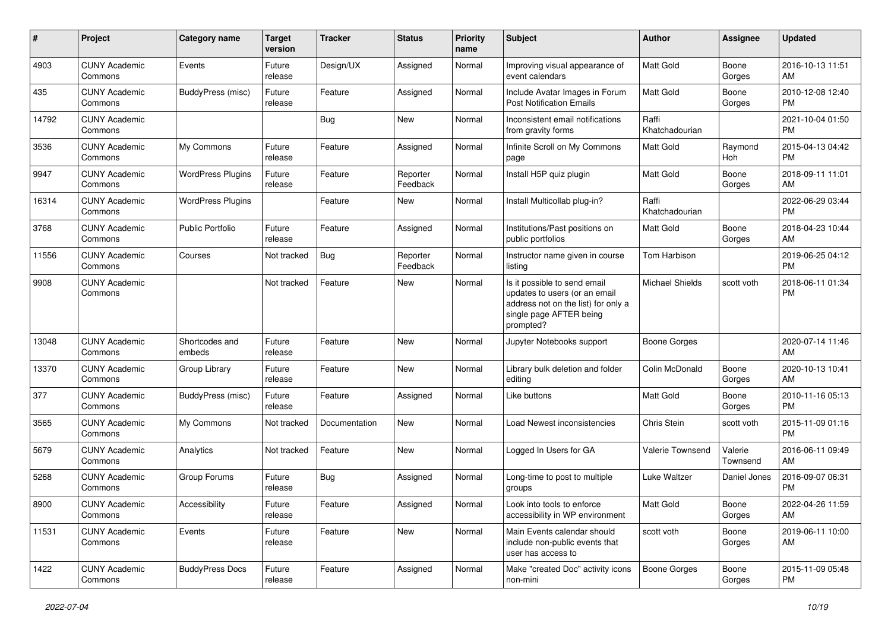| #     | Project                         | <b>Category name</b>     | <b>Target</b><br>version | <b>Tracker</b> | <b>Status</b>        | Priority<br>name | <b>Subject</b>                                                                                                                               | Author                  | <b>Assignee</b>     | <b>Updated</b>                |
|-------|---------------------------------|--------------------------|--------------------------|----------------|----------------------|------------------|----------------------------------------------------------------------------------------------------------------------------------------------|-------------------------|---------------------|-------------------------------|
| 4903  | <b>CUNY Academic</b><br>Commons | Events                   | Future<br>release        | Design/UX      | Assigned             | Normal           | Improving visual appearance of<br>event calendars                                                                                            | <b>Matt Gold</b>        | Boone<br>Gorges     | 2016-10-13 11:51<br>AM        |
| 435   | <b>CUNY Academic</b><br>Commons | BuddyPress (misc)        | Future<br>release        | Feature        | Assigned             | Normal           | Include Avatar Images in Forum<br><b>Post Notification Emails</b>                                                                            | <b>Matt Gold</b>        | Boone<br>Gorges     | 2010-12-08 12:40<br><b>PM</b> |
| 14792 | <b>CUNY Academic</b><br>Commons |                          |                          | <b>Bug</b>     | New                  | Normal           | Inconsistent email notifications<br>from gravity forms                                                                                       | Raffi<br>Khatchadourian |                     | 2021-10-04 01:50<br><b>PM</b> |
| 3536  | <b>CUNY Academic</b><br>Commons | My Commons               | Future<br>release        | Feature        | Assigned             | Normal           | Infinite Scroll on My Commons<br>page                                                                                                        | <b>Matt Gold</b>        | Raymond<br>Hoh      | 2015-04-13 04:42<br><b>PM</b> |
| 9947  | <b>CUNY Academic</b><br>Commons | <b>WordPress Plugins</b> | Future<br>release        | Feature        | Reporter<br>Feedback | Normal           | Install H5P quiz plugin                                                                                                                      | <b>Matt Gold</b>        | Boone<br>Gorges     | 2018-09-11 11:01<br>AM        |
| 16314 | <b>CUNY Academic</b><br>Commons | <b>WordPress Plugins</b> |                          | Feature        | New                  | Normal           | Install Multicollab plug-in?                                                                                                                 | Raffi<br>Khatchadourian |                     | 2022-06-29 03:44<br><b>PM</b> |
| 3768  | <b>CUNY Academic</b><br>Commons | <b>Public Portfolio</b>  | Future<br>release        | Feature        | Assigned             | Normal           | Institutions/Past positions on<br>public portfolios                                                                                          | <b>Matt Gold</b>        | Boone<br>Gorges     | 2018-04-23 10:44<br>AM        |
| 11556 | <b>CUNY Academic</b><br>Commons | Courses                  | Not tracked              | Bug            | Reporter<br>Feedback | Normal           | Instructor name given in course<br>listing                                                                                                   | Tom Harbison            |                     | 2019-06-25 04:12<br><b>PM</b> |
| 9908  | <b>CUNY Academic</b><br>Commons |                          | Not tracked              | Feature        | New                  | Normal           | Is it possible to send email<br>updates to users (or an email<br>address not on the list) for only a<br>single page AFTER being<br>prompted? | <b>Michael Shields</b>  | scott voth          | 2018-06-11 01:34<br><b>PM</b> |
| 13048 | <b>CUNY Academic</b><br>Commons | Shortcodes and<br>embeds | Future<br>release        | Feature        | New                  | Normal           | Jupyter Notebooks support                                                                                                                    | <b>Boone Gorges</b>     |                     | 2020-07-14 11:46<br>AM        |
| 13370 | <b>CUNY Academic</b><br>Commons | Group Library            | Future<br>release        | Feature        | New                  | Normal           | Library bulk deletion and folder<br>editing                                                                                                  | Colin McDonald          | Boone<br>Gorges     | 2020-10-13 10:41<br>AM        |
| 377   | <b>CUNY Academic</b><br>Commons | BuddyPress (misc)        | Future<br>release        | Feature        | Assigned             | Normal           | Like buttons                                                                                                                                 | <b>Matt Gold</b>        | Boone<br>Gorges     | 2010-11-16 05:13<br>PM.       |
| 3565  | <b>CUNY Academic</b><br>Commons | My Commons               | Not tracked              | Documentation  | New                  | Normal           | Load Newest inconsistencies                                                                                                                  | Chris Stein             | scott voth          | 2015-11-09 01:16<br><b>PM</b> |
| 5679  | <b>CUNY Academic</b><br>Commons | Analytics                | Not tracked              | Feature        | <b>New</b>           | Normal           | Logged In Users for GA                                                                                                                       | Valerie Townsend        | Valerie<br>Townsend | 2016-06-11 09:49<br>AM        |
| 5268  | <b>CUNY Academic</b><br>Commons | Group Forums             | Future<br>release        | Bug            | Assigned             | Normal           | Long-time to post to multiple<br>groups                                                                                                      | Luke Waltzer            | Daniel Jones        | 2016-09-07 06:31<br><b>PM</b> |
| 8900  | <b>CUNY Academic</b><br>Commons | Accessibility            | Future<br>release        | Feature        | Assigned             | Normal           | Look into tools to enforce<br>accessibility in WP environment                                                                                | Matt Gold               | Boone<br>Gorges     | 2022-04-26 11:59<br>AM        |
| 11531 | <b>CUNY Academic</b><br>Commons | Events                   | Future<br>release        | Feature        | New                  | Normal           | Main Events calendar should<br>include non-public events that<br>user has access to                                                          | scott voth              | Boone<br>Gorges     | 2019-06-11 10:00<br>AM        |
| 1422  | <b>CUNY Academic</b><br>Commons | <b>BuddyPress Docs</b>   | Future<br>release        | Feature        | Assigned             | Normal           | Make "created Doc" activity icons<br>non-mini                                                                                                | <b>Boone Gorges</b>     | Boone<br>Gorges     | 2015-11-09 05:48<br><b>PM</b> |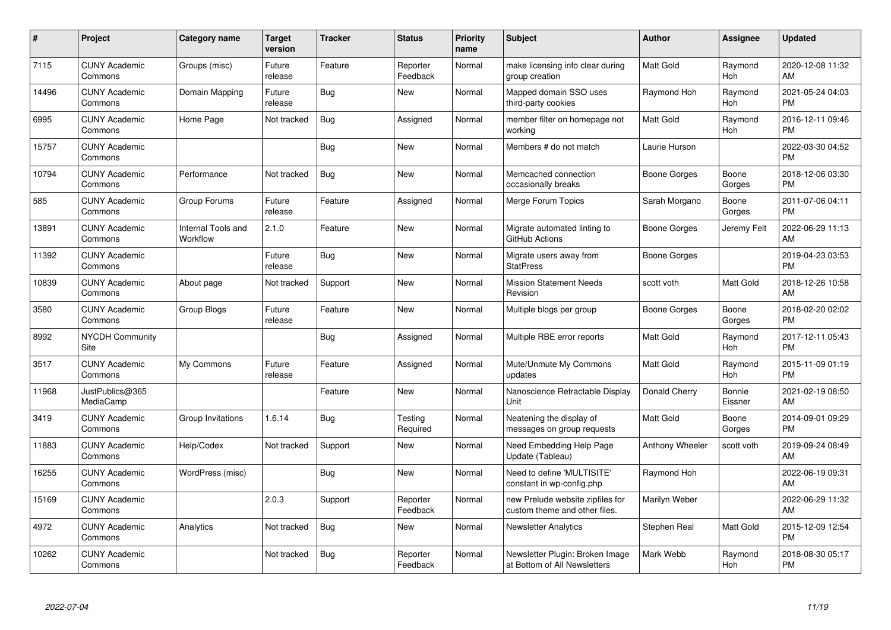| #     | Project                         | <b>Category name</b>           | <b>Target</b><br>version | <b>Tracker</b> | <b>Status</b>        | <b>Priority</b><br>name | <b>Subject</b>                                                    | <b>Author</b>    | <b>Assignee</b>   | <b>Updated</b>                |
|-------|---------------------------------|--------------------------------|--------------------------|----------------|----------------------|-------------------------|-------------------------------------------------------------------|------------------|-------------------|-------------------------------|
| 7115  | <b>CUNY Academic</b><br>Commons | Groups (misc)                  | Future<br>release        | Feature        | Reporter<br>Feedback | Normal                  | make licensing info clear during<br>group creation                | <b>Matt Gold</b> | Raymond<br>Hoh    | 2020-12-08 11:32<br>AM        |
| 14496 | <b>CUNY Academic</b><br>Commons | Domain Mapping                 | Future<br>release        | Bug            | New                  | Normal                  | Mapped domain SSO uses<br>third-party cookies                     | Raymond Hoh      | Raymond<br>Hoh    | 2021-05-24 04:03<br><b>PM</b> |
| 6995  | <b>CUNY Academic</b><br>Commons | Home Page                      | Not tracked              | <b>Bug</b>     | Assigned             | Normal                  | member filter on homepage not<br>working                          | <b>Matt Gold</b> | Raymond<br>Hoh    | 2016-12-11 09:46<br><b>PM</b> |
| 15757 | <b>CUNY Academic</b><br>Commons |                                |                          | <b>Bug</b>     | <b>New</b>           | Normal                  | Members # do not match                                            | Laurie Hurson    |                   | 2022-03-30 04:52<br><b>PM</b> |
| 10794 | <b>CUNY Academic</b><br>Commons | Performance                    | Not tracked              | Bug            | <b>New</b>           | Normal                  | Memcached connection<br>occasionally breaks                       | Boone Gorges     | Boone<br>Gorges   | 2018-12-06 03:30<br><b>PM</b> |
| 585   | <b>CUNY Academic</b><br>Commons | Group Forums                   | Future<br>release        | Feature        | Assigned             | Normal                  | Merge Forum Topics                                                | Sarah Morgano    | Boone<br>Gorges   | 2011-07-06 04:11<br><b>PM</b> |
| 13891 | <b>CUNY Academic</b><br>Commons | Internal Tools and<br>Workflow | 2.1.0                    | Feature        | <b>New</b>           | Normal                  | Migrate automated linting to<br>GitHub Actions                    | Boone Gorges     | Jeremy Felt       | 2022-06-29 11:13<br>AM        |
| 11392 | <b>CUNY Academic</b><br>Commons |                                | Future<br>release        | Bug            | <b>New</b>           | Normal                  | Migrate users away from<br><b>StatPress</b>                       | Boone Gorges     |                   | 2019-04-23 03:53<br><b>PM</b> |
| 10839 | <b>CUNY Academic</b><br>Commons | About page                     | Not tracked              | Support        | <b>New</b>           | Normal                  | <b>Mission Statement Needs</b><br>Revision                        | scott voth       | Matt Gold         | 2018-12-26 10:58<br>AM        |
| 3580  | <b>CUNY Academic</b><br>Commons | Group Blogs                    | Future<br>release        | Feature        | <b>New</b>           | Normal                  | Multiple blogs per group                                          | Boone Gorges     | Boone<br>Gorges   | 2018-02-20 02:02<br><b>PM</b> |
| 8992  | <b>NYCDH Community</b><br>Site  |                                |                          | Bug            | Assigned             | Normal                  | Multiple RBE error reports                                        | <b>Matt Gold</b> | Raymond<br>Hoh    | 2017-12-11 05:43<br><b>PM</b> |
| 3517  | <b>CUNY Academic</b><br>Commons | My Commons                     | Future<br>release        | Feature        | Assigned             | Normal                  | Mute/Unmute My Commons<br>updates                                 | <b>Matt Gold</b> | Raymond<br>Hoh    | 2015-11-09 01:19<br><b>PM</b> |
| 11968 | JustPublics@365<br>MediaCamp    |                                |                          | Feature        | <b>New</b>           | Normal                  | Nanoscience Retractable Display<br>Unit                           | Donald Cherry    | Bonnie<br>Eissner | 2021-02-19 08:50<br>AM        |
| 3419  | <b>CUNY Academic</b><br>Commons | Group Invitations              | 1.6.14                   | <b>Bug</b>     | Testing<br>Required  | Normal                  | Neatening the display of<br>messages on group requests            | <b>Matt Gold</b> | Boone<br>Gorges   | 2014-09-01 09:29<br><b>PM</b> |
| 11883 | <b>CUNY Academic</b><br>Commons | Help/Codex                     | Not tracked              | Support        | New                  | Normal                  | Need Embedding Help Page<br>Update (Tableau)                      | Anthony Wheeler  | scott voth        | 2019-09-24 08:49<br>AM        |
| 16255 | <b>CUNY Academic</b><br>Commons | WordPress (misc)               |                          | Bug            | <b>New</b>           | Normal                  | Need to define 'MULTISITE'<br>constant in wp-config.php           | Raymond Hoh      |                   | 2022-06-19 09:31<br>AM        |
| 15169 | <b>CUNY Academic</b><br>Commons |                                | 2.0.3                    | Support        | Reporter<br>Feedback | Normal                  | new Prelude website zipfiles for<br>custom theme and other files. | Marilyn Weber    |                   | 2022-06-29 11:32<br>AM        |
| 4972  | <b>CUNY Academic</b><br>Commons | Analytics                      | Not tracked              | Bug            | <b>New</b>           | Normal                  | <b>Newsletter Analytics</b>                                       | Stephen Real     | Matt Gold         | 2015-12-09 12:54<br><b>PM</b> |
| 10262 | <b>CUNY Academic</b><br>Commons |                                | Not tracked              | <b>Bug</b>     | Reporter<br>Feedback | Normal                  | Newsletter Plugin: Broken Image<br>at Bottom of All Newsletters   | Mark Webb        | Raymond<br>Hoh    | 2018-08-30 05:17<br><b>PM</b> |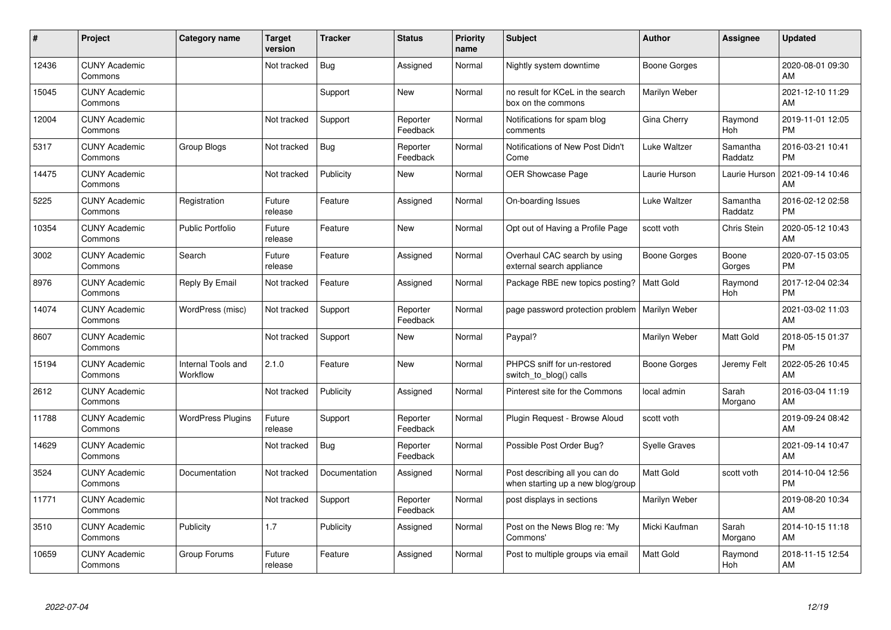| #     | Project                         | Category name                  | <b>Target</b><br>version | <b>Tracker</b> | <b>Status</b>        | Priority<br>name | <b>Subject</b>                                                      | <b>Author</b>        | <b>Assignee</b>     | <b>Updated</b>                |
|-------|---------------------------------|--------------------------------|--------------------------|----------------|----------------------|------------------|---------------------------------------------------------------------|----------------------|---------------------|-------------------------------|
| 12436 | <b>CUNY Academic</b><br>Commons |                                | Not tracked              | Bug            | Assigned             | Normal           | Nightly system downtime                                             | Boone Gorges         |                     | 2020-08-01 09:30<br>AM        |
| 15045 | <b>CUNY Academic</b><br>Commons |                                |                          | Support        | <b>New</b>           | Normal           | no result for KCeL in the search<br>box on the commons              | Marilyn Weber        |                     | 2021-12-10 11:29<br>AM        |
| 12004 | <b>CUNY Academic</b><br>Commons |                                | Not tracked              | Support        | Reporter<br>Feedback | Normal           | Notifications for spam blog<br>comments                             | Gina Cherry          | Raymond<br>Hoh      | 2019-11-01 12:05<br><b>PM</b> |
| 5317  | <b>CUNY Academic</b><br>Commons | Group Blogs                    | Not tracked              | <b>Bug</b>     | Reporter<br>Feedback | Normal           | Notifications of New Post Didn't<br>Come                            | Luke Waltzer         | Samantha<br>Raddatz | 2016-03-21 10:41<br><b>PM</b> |
| 14475 | <b>CUNY Academic</b><br>Commons |                                | Not tracked              | Publicity      | New                  | Normal           | OER Showcase Page                                                   | Laurie Hurson        | Laurie Hurson       | 2021-09-14 10:46<br>AM        |
| 5225  | <b>CUNY Academic</b><br>Commons | Registration                   | Future<br>release        | Feature        | Assigned             | Normal           | On-boarding Issues                                                  | Luke Waltzer         | Samantha<br>Raddatz | 2016-02-12 02:58<br><b>PM</b> |
| 10354 | <b>CUNY Academic</b><br>Commons | <b>Public Portfolio</b>        | Future<br>release        | Feature        | New                  | Normal           | Opt out of Having a Profile Page                                    | scott voth           | <b>Chris Stein</b>  | 2020-05-12 10:43<br>AM        |
| 3002  | <b>CUNY Academic</b><br>Commons | Search                         | Future<br>release        | Feature        | Assigned             | Normal           | Overhaul CAC search by using<br>external search appliance           | Boone Gorges         | Boone<br>Gorges     | 2020-07-15 03:05<br><b>PM</b> |
| 8976  | <b>CUNY Academic</b><br>Commons | Reply By Email                 | Not tracked              | Feature        | Assigned             | Normal           | Package RBE new topics posting?                                     | Matt Gold            | Raymond<br>Hoh      | 2017-12-04 02:34<br><b>PM</b> |
| 14074 | <b>CUNY Academic</b><br>Commons | WordPress (misc)               | Not tracked              | Support        | Reporter<br>Feedback | Normal           | page password protection problem                                    | Marilyn Weber        |                     | 2021-03-02 11:03<br>AM        |
| 8607  | <b>CUNY Academic</b><br>Commons |                                | Not tracked              | Support        | New                  | Normal           | Paypal?                                                             | Marilyn Weber        | Matt Gold           | 2018-05-15 01:37<br><b>PM</b> |
| 15194 | <b>CUNY Academic</b><br>Commons | Internal Tools and<br>Workflow | 2.1.0                    | Feature        | New                  | Normal           | PHPCS sniff for un-restored<br>switch_to_blog() calls               | Boone Gorges         | Jeremy Felt         | 2022-05-26 10:45<br>AM        |
| 2612  | <b>CUNY Academic</b><br>Commons |                                | Not tracked              | Publicity      | Assigned             | Normal           | Pinterest site for the Commons                                      | local admin          | Sarah<br>Morgano    | 2016-03-04 11:19<br>AM        |
| 11788 | <b>CUNY Academic</b><br>Commons | <b>WordPress Plugins</b>       | Future<br>release        | Support        | Reporter<br>Feedback | Normal           | Plugin Request - Browse Aloud                                       | scott voth           |                     | 2019-09-24 08:42<br>AM        |
| 14629 | <b>CUNY Academic</b><br>Commons |                                | Not tracked              | Bug            | Reporter<br>Feedback | Normal           | Possible Post Order Bug?                                            | <b>Syelle Graves</b> |                     | 2021-09-14 10:47<br>AM        |
| 3524  | <b>CUNY Academic</b><br>Commons | Documentation                  | Not tracked              | Documentation  | Assigned             | Normal           | Post describing all you can do<br>when starting up a new blog/group | <b>Matt Gold</b>     | scott voth          | 2014-10-04 12:56<br><b>PM</b> |
| 11771 | <b>CUNY Academic</b><br>Commons |                                | Not tracked              | Support        | Reporter<br>Feedback | Normal           | post displays in sections                                           | Marilyn Weber        |                     | 2019-08-20 10:34<br>AM        |
| 3510  | <b>CUNY Academic</b><br>Commons | Publicity                      | 1.7                      | Publicity      | Assigned             | Normal           | Post on the News Blog re: 'My<br>Commons'                           | Micki Kaufman        | Sarah<br>Morgano    | 2014-10-15 11:18<br>AM        |
| 10659 | <b>CUNY Academic</b><br>Commons | Group Forums                   | Future<br>release        | Feature        | Assigned             | Normal           | Post to multiple groups via email                                   | <b>Matt Gold</b>     | Raymond<br>Hoh      | 2018-11-15 12:54<br>AM        |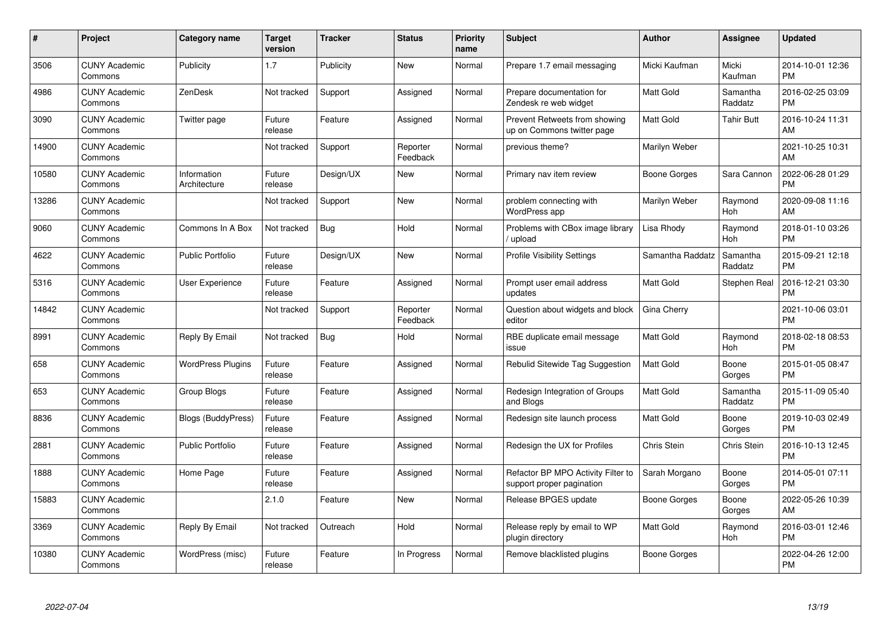| $\#$  | Project                         | <b>Category name</b>        | <b>Target</b><br>version | <b>Tracker</b> | <b>Status</b>        | Priority<br>name | <b>Subject</b>                                                  | <b>Author</b>    | Assignee            | <b>Updated</b>                |
|-------|---------------------------------|-----------------------------|--------------------------|----------------|----------------------|------------------|-----------------------------------------------------------------|------------------|---------------------|-------------------------------|
| 3506  | <b>CUNY Academic</b><br>Commons | Publicity                   | 1.7                      | Publicity      | <b>New</b>           | Normal           | Prepare 1.7 email messaging                                     | Micki Kaufman    | Micki<br>Kaufman    | 2014-10-01 12:36<br><b>PM</b> |
| 4986  | <b>CUNY Academic</b><br>Commons | ZenDesk                     | Not tracked              | Support        | Assigned             | Normal           | Prepare documentation for<br>Zendesk re web widget              | <b>Matt Gold</b> | Samantha<br>Raddatz | 2016-02-25 03:09<br><b>PM</b> |
| 3090  | <b>CUNY Academic</b><br>Commons | Twitter page                | Future<br>release        | Feature        | Assigned             | Normal           | Prevent Retweets from showing<br>up on Commons twitter page     | Matt Gold        | <b>Tahir Butt</b>   | 2016-10-24 11:31<br>AM        |
| 14900 | <b>CUNY Academic</b><br>Commons |                             | Not tracked              | Support        | Reporter<br>Feedback | Normal           | previous theme?                                                 | Marilyn Weber    |                     | 2021-10-25 10:31<br>AM        |
| 10580 | <b>CUNY Academic</b><br>Commons | Information<br>Architecture | Future<br>release        | Design/UX      | <b>New</b>           | Normal           | Primary nav item review                                         | Boone Gorges     | Sara Cannon         | 2022-06-28 01:29<br><b>PM</b> |
| 13286 | <b>CUNY Academic</b><br>Commons |                             | Not tracked              | Support        | <b>New</b>           | Normal           | problem connecting with<br><b>WordPress app</b>                 | Marilyn Weber    | Raymond<br>Hoh      | 2020-09-08 11:16<br>AM        |
| 9060  | <b>CUNY Academic</b><br>Commons | Commons In A Box            | Not tracked              | Bug            | Hold                 | Normal           | Problems with CBox image library<br>/ upload                    | Lisa Rhody       | Raymond<br>Hoh      | 2018-01-10 03:26<br><b>PM</b> |
| 4622  | <b>CUNY Academic</b><br>Commons | <b>Public Portfolio</b>     | Future<br>release        | Design/UX      | <b>New</b>           | Normal           | <b>Profile Visibility Settings</b>                              | Samantha Raddatz | Samantha<br>Raddatz | 2015-09-21 12:18<br><b>PM</b> |
| 5316  | <b>CUNY Academic</b><br>Commons | User Experience             | Future<br>release        | Feature        | Assigned             | Normal           | Prompt user email address<br>updates                            | Matt Gold        | Stephen Real        | 2016-12-21 03:30<br><b>PM</b> |
| 14842 | <b>CUNY Academic</b><br>Commons |                             | Not tracked              | Support        | Reporter<br>Feedback | Normal           | Question about widgets and block<br>editor                      | Gina Cherry      |                     | 2021-10-06 03:01<br><b>PM</b> |
| 8991  | <b>CUNY Academic</b><br>Commons | Reply By Email              | Not tracked              | Bug            | Hold                 | Normal           | RBE duplicate email message<br>issue                            | Matt Gold        | Raymond<br>Hoh      | 2018-02-18 08:53<br><b>PM</b> |
| 658   | <b>CUNY Academic</b><br>Commons | <b>WordPress Plugins</b>    | Future<br>release        | Feature        | Assigned             | Normal           | Rebulid Sitewide Tag Suggestion                                 | Matt Gold        | Boone<br>Gorges     | 2015-01-05 08:47<br><b>PM</b> |
| 653   | <b>CUNY Academic</b><br>Commons | Group Blogs                 | Future<br>release        | Feature        | Assigned             | Normal           | Redesign Integration of Groups<br>and Blogs                     | Matt Gold        | Samantha<br>Raddatz | 2015-11-09 05:40<br><b>PM</b> |
| 8836  | <b>CUNY Academic</b><br>Commons | <b>Blogs (BuddyPress)</b>   | Future<br>release        | Feature        | Assigned             | Normal           | Redesign site launch process                                    | Matt Gold        | Boone<br>Gorges     | 2019-10-03 02:49<br><b>PM</b> |
| 2881  | <b>CUNY Academic</b><br>Commons | <b>Public Portfolio</b>     | Future<br>release        | Feature        | Assigned             | Normal           | Redesign the UX for Profiles                                    | Chris Stein      | <b>Chris Stein</b>  | 2016-10-13 12:45<br><b>PM</b> |
| 1888  | <b>CUNY Academic</b><br>Commons | Home Page                   | Future<br>release        | Feature        | Assigned             | Normal           | Refactor BP MPO Activity Filter to<br>support proper pagination | Sarah Morgano    | Boone<br>Gorges     | 2014-05-01 07:11<br><b>PM</b> |
| 15883 | <b>CUNY Academic</b><br>Commons |                             | 2.1.0                    | Feature        | New                  | Normal           | Release BPGES update                                            | Boone Gorges     | Boone<br>Gorges     | 2022-05-26 10:39<br>AM        |
| 3369  | <b>CUNY Academic</b><br>Commons | Reply By Email              | Not tracked              | Outreach       | Hold                 | Normal           | Release reply by email to WP<br>plugin directory                | <b>Matt Gold</b> | Raymond<br>Hoh      | 2016-03-01 12:46<br><b>PM</b> |
| 10380 | CUNY Academic<br>Commons        | WordPress (misc)            | Future<br>release        | Feature        | In Progress          | Normal           | Remove blacklisted plugins                                      | Boone Gorges     |                     | 2022-04-26 12:00<br><b>PM</b> |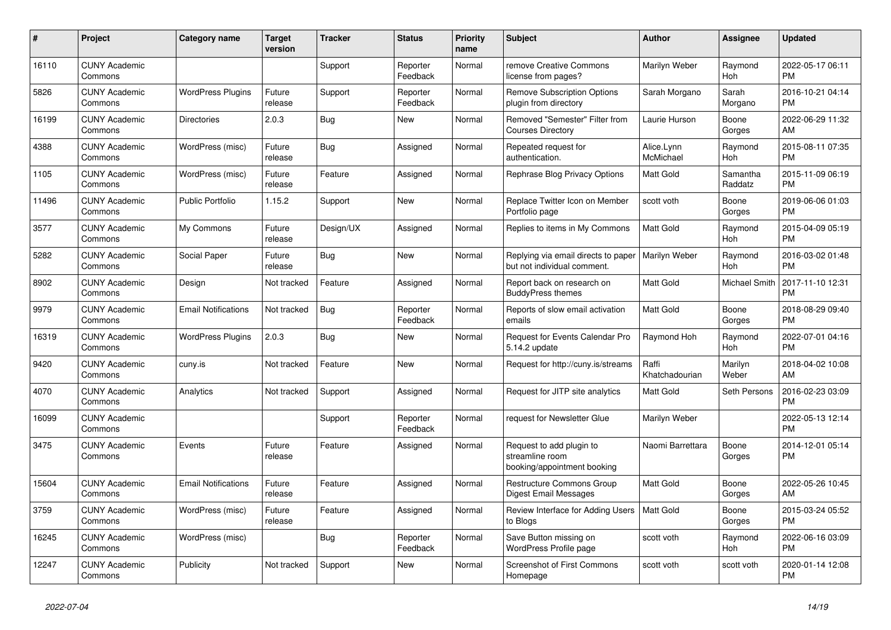| #     | Project                         | <b>Category name</b>       | <b>Target</b><br>version | <b>Tracker</b> | <b>Status</b>        | <b>Priority</b><br>name | <b>Subject</b>                                                             | <b>Author</b>           | <b>Assignee</b>     | <b>Updated</b>                |
|-------|---------------------------------|----------------------------|--------------------------|----------------|----------------------|-------------------------|----------------------------------------------------------------------------|-------------------------|---------------------|-------------------------------|
| 16110 | <b>CUNY Academic</b><br>Commons |                            |                          | Support        | Reporter<br>Feedback | Normal                  | remove Creative Commons<br>license from pages?                             | Marilyn Weber           | Raymond<br>Hoh      | 2022-05-17 06:11<br><b>PM</b> |
| 5826  | <b>CUNY Academic</b><br>Commons | <b>WordPress Plugins</b>   | Future<br>release        | Support        | Reporter<br>Feedback | Normal                  | <b>Remove Subscription Options</b><br>plugin from directory                | Sarah Morgano           | Sarah<br>Morgano    | 2016-10-21 04:14<br><b>PM</b> |
| 16199 | <b>CUNY Academic</b><br>Commons | <b>Directories</b>         | 2.0.3                    | <b>Bug</b>     | New                  | Normal                  | Removed "Semester" Filter from<br><b>Courses Directory</b>                 | Laurie Hurson           | Boone<br>Gorges     | 2022-06-29 11:32<br>AM        |
| 4388  | <b>CUNY Academic</b><br>Commons | WordPress (misc)           | Future<br>release        | Bug            | Assigned             | Normal                  | Repeated request for<br>authentication.                                    | Alice.Lynn<br>McMichael | Raymond<br>Hoh      | 2015-08-11 07:35<br><b>PM</b> |
| 1105  | <b>CUNY Academic</b><br>Commons | WordPress (misc)           | Future<br>release        | Feature        | Assigned             | Normal                  | Rephrase Blog Privacy Options                                              | Matt Gold               | Samantha<br>Raddatz | 2015-11-09 06:19<br><b>PM</b> |
| 11496 | <b>CUNY Academic</b><br>Commons | <b>Public Portfolio</b>    | 1.15.2                   | Support        | New                  | Normal                  | Replace Twitter Icon on Member<br>Portfolio page                           | scott voth              | Boone<br>Gorges     | 2019-06-06 01:03<br><b>PM</b> |
| 3577  | <b>CUNY Academic</b><br>Commons | My Commons                 | Future<br>release        | Design/UX      | Assigned             | Normal                  | Replies to items in My Commons                                             | <b>Matt Gold</b>        | Raymond<br>Hoh      | 2015-04-09 05:19<br><b>PM</b> |
| 5282  | <b>CUNY Academic</b><br>Commons | Social Paper               | Future<br>release        | Bug            | New                  | Normal                  | Replying via email directs to paper<br>but not individual comment.         | Marilyn Weber           | Raymond<br>Hoh      | 2016-03-02 01:48<br><b>PM</b> |
| 8902  | <b>CUNY Academic</b><br>Commons | Design                     | Not tracked              | Feature        | Assigned             | Normal                  | Report back on research on<br><b>BuddyPress themes</b>                     | Matt Gold               | Michael Smith       | 2017-11-10 12:31<br><b>PM</b> |
| 9979  | <b>CUNY Academic</b><br>Commons | <b>Email Notifications</b> | Not tracked              | <b>Bug</b>     | Reporter<br>Feedback | Normal                  | Reports of slow email activation<br>emails                                 | <b>Matt Gold</b>        | Boone<br>Gorges     | 2018-08-29 09:40<br><b>PM</b> |
| 16319 | <b>CUNY Academic</b><br>Commons | <b>WordPress Plugins</b>   | 2.0.3                    | Bug            | <b>New</b>           | Normal                  | Request for Events Calendar Pro<br>5.14.2 update                           | Raymond Hoh             | Raymond<br>Hoh      | 2022-07-01 04:16<br><b>PM</b> |
| 9420  | <b>CUNY Academic</b><br>Commons | cuny.is                    | Not tracked              | Feature        | New                  | Normal                  | Request for http://cuny.is/streams                                         | Raffi<br>Khatchadourian | Marilyn<br>Weber    | 2018-04-02 10:08<br>AM        |
| 4070  | <b>CUNY Academic</b><br>Commons | Analytics                  | Not tracked              | Support        | Assigned             | Normal                  | Request for JITP site analytics                                            | Matt Gold               | Seth Persons        | 2016-02-23 03:09<br><b>PM</b> |
| 16099 | <b>CUNY Academic</b><br>Commons |                            |                          | Support        | Reporter<br>Feedback | Normal                  | request for Newsletter Glue                                                | Marilyn Weber           |                     | 2022-05-13 12:14<br><b>PM</b> |
| 3475  | <b>CUNY Academic</b><br>Commons | Events                     | Future<br>release        | Feature        | Assigned             | Normal                  | Request to add plugin to<br>streamline room<br>booking/appointment booking | Naomi Barrettara        | Boone<br>Gorges     | 2014-12-01 05:14<br><b>PM</b> |
| 15604 | <b>CUNY Academic</b><br>Commons | <b>Email Notifications</b> | Future<br>release        | Feature        | Assigned             | Normal                  | Restructure Commons Group<br><b>Digest Email Messages</b>                  | <b>Matt Gold</b>        | Boone<br>Gorges     | 2022-05-26 10:45<br>AM        |
| 3759  | <b>CUNY Academic</b><br>Commons | WordPress (misc)           | Future<br>release        | Feature        | Assigned             | Normal                  | Review Interface for Adding Users<br>to Blogs                              | Matt Gold               | Boone<br>Gorges     | 2015-03-24 05:52<br><b>PM</b> |
| 16245 | <b>CUNY Academic</b><br>Commons | WordPress (misc)           |                          | Bug            | Reporter<br>Feedback | Normal                  | Save Button missing on<br>WordPress Profile page                           | scott voth              | Raymond<br>Hoh      | 2022-06-16 03:09<br><b>PM</b> |
| 12247 | <b>CUNY Academic</b><br>Commons | Publicity                  | Not tracked              | Support        | <b>New</b>           | Normal                  | <b>Screenshot of First Commons</b><br>Homepage                             | scott voth              | scott voth          | 2020-01-14 12:08<br><b>PM</b> |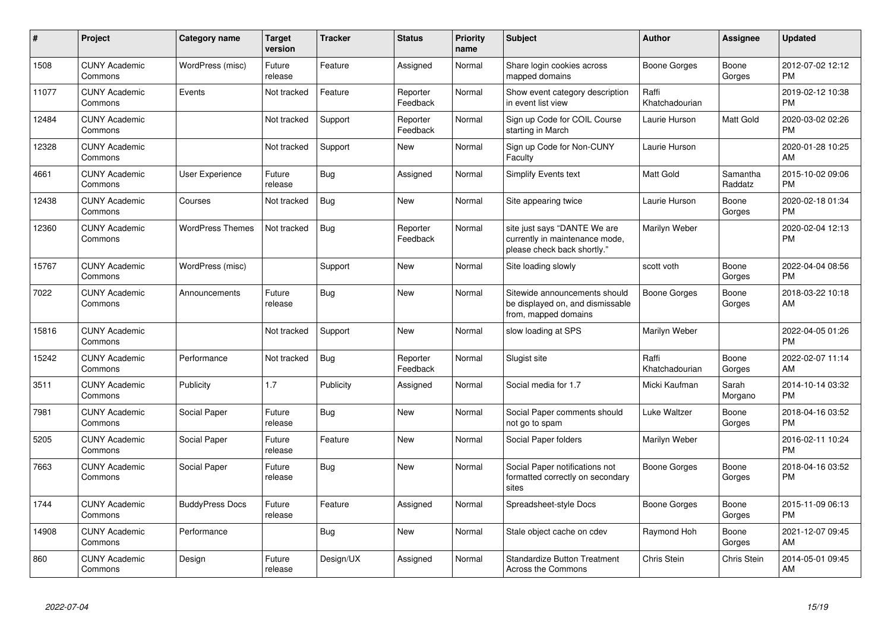| #     | Project                         | Category name           | <b>Target</b><br>version | <b>Tracker</b> | <b>Status</b>        | <b>Priority</b><br>name | <b>Subject</b>                                                                                | <b>Author</b>           | <b>Assignee</b>     | <b>Updated</b>                |
|-------|---------------------------------|-------------------------|--------------------------|----------------|----------------------|-------------------------|-----------------------------------------------------------------------------------------------|-------------------------|---------------------|-------------------------------|
| 1508  | <b>CUNY Academic</b><br>Commons | WordPress (misc)        | Future<br>release        | Feature        | Assigned             | Normal                  | Share login cookies across<br>mapped domains                                                  | Boone Gorges            | Boone<br>Gorges     | 2012-07-02 12:12<br><b>PM</b> |
| 11077 | <b>CUNY Academic</b><br>Commons | Events                  | Not tracked              | Feature        | Reporter<br>Feedback | Normal                  | Show event category description<br>in event list view                                         | Raffi<br>Khatchadourian |                     | 2019-02-12 10:38<br><b>PM</b> |
| 12484 | <b>CUNY Academic</b><br>Commons |                         | Not tracked              | Support        | Reporter<br>Feedback | Normal                  | Sign up Code for COIL Course<br>starting in March                                             | Laurie Hurson           | Matt Gold           | 2020-03-02 02:26<br><b>PM</b> |
| 12328 | <b>CUNY Academic</b><br>Commons |                         | Not tracked              | Support        | <b>New</b>           | Normal                  | Sign up Code for Non-CUNY<br>Faculty                                                          | Laurie Hurson           |                     | 2020-01-28 10:25<br>AM        |
| 4661  | <b>CUNY Academic</b><br>Commons | User Experience         | Future<br>release        | Bug            | Assigned             | Normal                  | <b>Simplify Events text</b>                                                                   | <b>Matt Gold</b>        | Samantha<br>Raddatz | 2015-10-02 09:06<br><b>PM</b> |
| 12438 | <b>CUNY Academic</b><br>Commons | Courses                 | Not tracked              | Bug            | <b>New</b>           | Normal                  | Site appearing twice                                                                          | Laurie Hurson           | Boone<br>Gorges     | 2020-02-18 01:34<br><b>PM</b> |
| 12360 | <b>CUNY Academic</b><br>Commons | <b>WordPress Themes</b> | Not tracked              | Bug            | Reporter<br>Feedback | Normal                  | site just says "DANTE We are<br>currently in maintenance mode,<br>please check back shortly." | Marilyn Weber           |                     | 2020-02-04 12:13<br><b>PM</b> |
| 15767 | <b>CUNY Academic</b><br>Commons | WordPress (misc)        |                          | Support        | <b>New</b>           | Normal                  | Site loading slowly                                                                           | scott voth              | Boone<br>Gorges     | 2022-04-04 08:56<br><b>PM</b> |
| 7022  | <b>CUNY Academic</b><br>Commons | Announcements           | Future<br>release        | Bug            | <b>New</b>           | Normal                  | Sitewide announcements should<br>be displayed on, and dismissable<br>from, mapped domains     | Boone Gorges            | Boone<br>Gorges     | 2018-03-22 10:18<br>AM        |
| 15816 | <b>CUNY Academic</b><br>Commons |                         | Not tracked              | Support        | <b>New</b>           | Normal                  | slow loading at SPS                                                                           | Marilyn Weber           |                     | 2022-04-05 01:26<br><b>PM</b> |
| 15242 | <b>CUNY Academic</b><br>Commons | Performance             | Not tracked              | Bug            | Reporter<br>Feedback | Normal                  | Slugist site                                                                                  | Raffi<br>Khatchadourian | Boone<br>Gorges     | 2022-02-07 11:14<br>AM        |
| 3511  | <b>CUNY Academic</b><br>Commons | Publicity               | 1.7                      | Publicity      | Assigned             | Normal                  | Social media for 1.7                                                                          | Micki Kaufman           | Sarah<br>Morgano    | 2014-10-14 03:32<br><b>PM</b> |
| 7981  | <b>CUNY Academic</b><br>Commons | Social Paper            | Future<br>release        | <b>Bug</b>     | <b>New</b>           | Normal                  | Social Paper comments should<br>not go to spam                                                | Luke Waltzer            | Boone<br>Gorges     | 2018-04-16 03:52<br><b>PM</b> |
| 5205  | <b>CUNY Academic</b><br>Commons | Social Paper            | Future<br>release        | Feature        | <b>New</b>           | Normal                  | Social Paper folders                                                                          | Marilyn Weber           |                     | 2016-02-11 10:24<br><b>PM</b> |
| 7663  | <b>CUNY Academic</b><br>Commons | Social Paper            | Future<br>release        | Bug            | New                  | Normal                  | Social Paper notifications not<br>formatted correctly on secondary<br>sites                   | Boone Gorges            | Boone<br>Gorges     | 2018-04-16 03:52<br><b>PM</b> |
| 1744  | <b>CUNY Academic</b><br>Commons | <b>BuddyPress Docs</b>  | Future<br>release        | Feature        | Assigned             | Normal                  | Spreadsheet-style Docs                                                                        | <b>Boone Gorges</b>     | Boone<br>Gorges     | 2015-11-09 06:13<br><b>PM</b> |
| 14908 | <b>CUNY Academic</b><br>Commons | Performance             |                          | <b>Bug</b>     | <b>New</b>           | Normal                  | Stale object cache on cdev                                                                    | Raymond Hoh             | Boone<br>Gorges     | 2021-12-07 09:45<br>AM        |
| 860   | <b>CUNY Academic</b><br>Commons | Design                  | Future<br>release        | Design/UX      | Assigned             | Normal                  | <b>Standardize Button Treatment</b><br>Across the Commons                                     | Chris Stein             | Chris Stein         | 2014-05-01 09:45<br>AM        |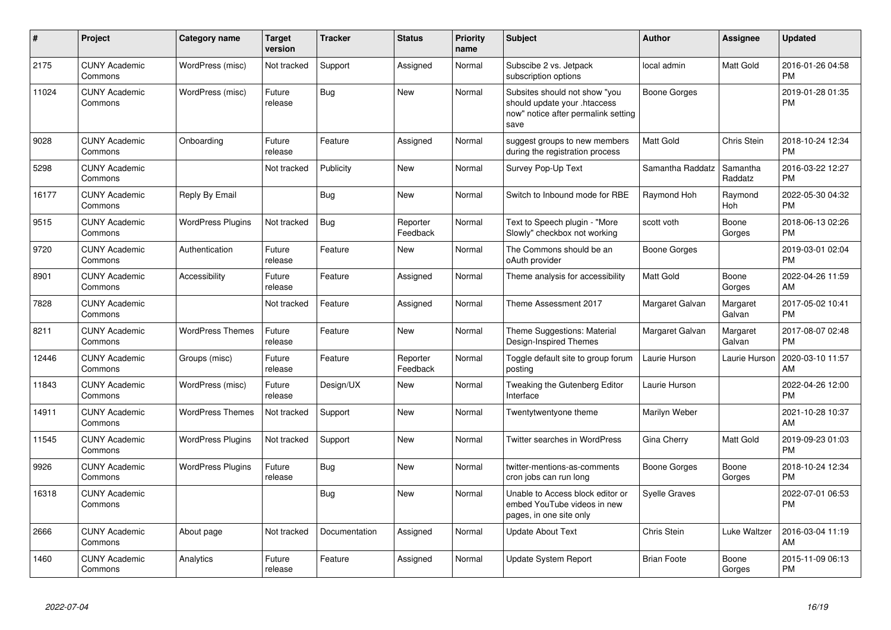| #     | <b>Project</b>                  | <b>Category name</b>     | <b>Target</b><br>version | <b>Tracker</b> | <b>Status</b>        | <b>Priority</b><br>name | <b>Subject</b>                                                                                               | Author               | Assignee            | <b>Updated</b>                |
|-------|---------------------------------|--------------------------|--------------------------|----------------|----------------------|-------------------------|--------------------------------------------------------------------------------------------------------------|----------------------|---------------------|-------------------------------|
| 2175  | <b>CUNY Academic</b><br>Commons | WordPress (misc)         | Not tracked              | Support        | Assigned             | Normal                  | Subscibe 2 vs. Jetpack<br>subscription options                                                               | local admin          | <b>Matt Gold</b>    | 2016-01-26 04:58<br><b>PM</b> |
| 11024 | <b>CUNY Academic</b><br>Commons | WordPress (misc)         | Future<br>release        | Bug            | <b>New</b>           | Normal                  | Subsites should not show "you<br>should update your .htaccess<br>now" notice after permalink setting<br>save | <b>Boone Gorges</b>  |                     | 2019-01-28 01:35<br><b>PM</b> |
| 9028  | <b>CUNY Academic</b><br>Commons | Onboarding               | Future<br>release        | Feature        | Assigned             | Normal                  | suggest groups to new members<br>during the registration process                                             | <b>Matt Gold</b>     | Chris Stein         | 2018-10-24 12:34<br><b>PM</b> |
| 5298  | <b>CUNY Academic</b><br>Commons |                          | Not tracked              | Publicity      | <b>New</b>           | Normal                  | <b>Survey Pop-Up Text</b>                                                                                    | Samantha Raddatz     | Samantha<br>Raddatz | 2016-03-22 12:27<br><b>PM</b> |
| 16177 | <b>CUNY Academic</b><br>Commons | Reply By Email           |                          | <b>Bug</b>     | <b>New</b>           | Normal                  | Switch to Inbound mode for RBE                                                                               | Raymond Hoh          | Raymond<br>Hoh      | 2022-05-30 04:32<br><b>PM</b> |
| 9515  | <b>CUNY Academic</b><br>Commons | <b>WordPress Plugins</b> | Not tracked              | <b>Bug</b>     | Reporter<br>Feedback | Normal                  | Text to Speech plugin - "More<br>Slowly" checkbox not working                                                | scott voth           | Boone<br>Gorges     | 2018-06-13 02:26<br><b>PM</b> |
| 9720  | <b>CUNY Academic</b><br>Commons | Authentication           | Future<br>release        | Feature        | <b>New</b>           | Normal                  | The Commons should be an<br>oAuth provider                                                                   | Boone Gorges         |                     | 2019-03-01 02:04<br><b>PM</b> |
| 8901  | <b>CUNY Academic</b><br>Commons | Accessibility            | Future<br>release        | Feature        | Assigned             | Normal                  | Theme analysis for accessibility                                                                             | Matt Gold            | Boone<br>Gorges     | 2022-04-26 11:59<br>AM        |
| 7828  | <b>CUNY Academic</b><br>Commons |                          | Not tracked              | Feature        | Assigned             | Normal                  | Theme Assessment 2017                                                                                        | Margaret Galvan      | Margaret<br>Galvan  | 2017-05-02 10:41<br><b>PM</b> |
| 8211  | <b>CUNY Academic</b><br>Commons | <b>WordPress Themes</b>  | Future<br>release        | Feature        | New                  | Normal                  | Theme Suggestions: Material<br>Design-Inspired Themes                                                        | Margaret Galvan      | Margaret<br>Galvan  | 2017-08-07 02:48<br><b>PM</b> |
| 12446 | <b>CUNY Academic</b><br>Commons | Groups (misc)            | Future<br>release        | Feature        | Reporter<br>Feedback | Normal                  | Toggle default site to group forum<br>posting                                                                | Laurie Hurson        | Laurie Hurson       | 2020-03-10 11:57<br>AM        |
| 11843 | <b>CUNY Academic</b><br>Commons | WordPress (misc)         | Future<br>release        | Design/UX      | <b>New</b>           | Normal                  | Tweaking the Gutenberg Editor<br>Interface                                                                   | Laurie Hurson        |                     | 2022-04-26 12:00<br><b>PM</b> |
| 14911 | <b>CUNY Academic</b><br>Commons | <b>WordPress Themes</b>  | Not tracked              | Support        | <b>New</b>           | Normal                  | Twentytwentyone theme                                                                                        | Marilyn Weber        |                     | 2021-10-28 10:37<br>AM        |
| 11545 | <b>CUNY Academic</b><br>Commons | <b>WordPress Plugins</b> | Not tracked              | Support        | <b>New</b>           | Normal                  | <b>Twitter searches in WordPress</b>                                                                         | Gina Cherry          | Matt Gold           | 2019-09-23 01:03<br><b>PM</b> |
| 9926  | <b>CUNY Academic</b><br>Commons | <b>WordPress Plugins</b> | Future<br>release        | Bug            | New                  | Normal                  | twitter-mentions-as-comments<br>cron jobs can run long                                                       | Boone Gorges         | Boone<br>Gorges     | 2018-10-24 12:34<br><b>PM</b> |
| 16318 | <b>CUNY Academic</b><br>Commons |                          |                          | Bug            | <b>New</b>           | Normal                  | Unable to Access block editor or<br>embed YouTube videos in new<br>pages, in one site only                   | <b>Syelle Graves</b> |                     | 2022-07-01 06:53<br><b>PM</b> |
| 2666  | <b>CUNY Academic</b><br>Commons | About page               | Not tracked              | Documentation  | Assigned             | Normal                  | <b>Update About Text</b>                                                                                     | Chris Stein          | Luke Waltzer        | 2016-03-04 11:19<br>AM        |
| 1460  | <b>CUNY Academic</b><br>Commons | Analytics                | Future<br>release        | Feature        | Assigned             | Normal                  | <b>Update System Report</b>                                                                                  | <b>Brian Foote</b>   | Boone<br>Gorges     | 2015-11-09 06:13<br><b>PM</b> |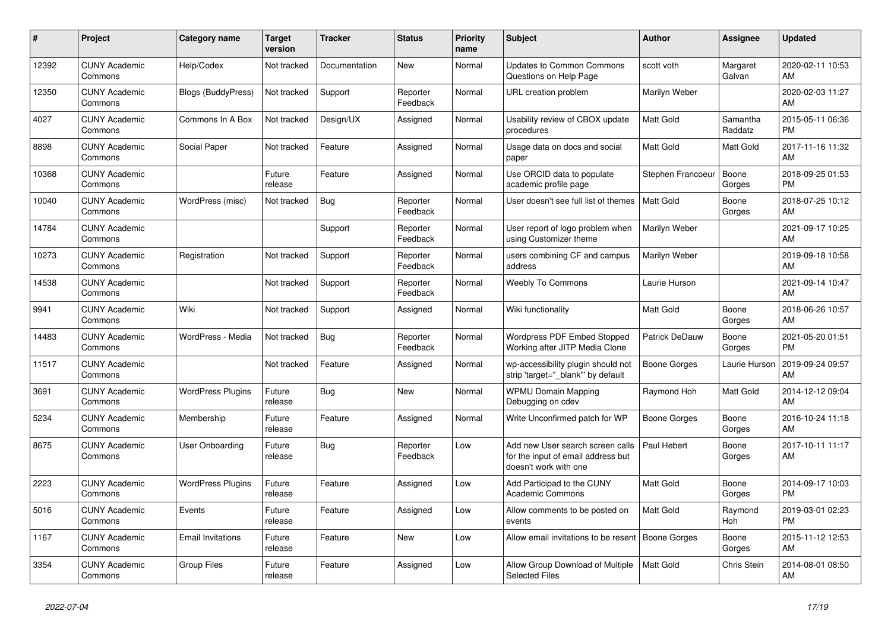| #     | Project                         | <b>Category name</b>      | <b>Target</b><br>version | <b>Tracker</b> | <b>Status</b>        | Priority<br>name | <b>Subject</b>                                                                                  | <b>Author</b>     | Assignee            | <b>Updated</b>                |
|-------|---------------------------------|---------------------------|--------------------------|----------------|----------------------|------------------|-------------------------------------------------------------------------------------------------|-------------------|---------------------|-------------------------------|
| 12392 | <b>CUNY Academic</b><br>Commons | Help/Codex                | Not tracked              | Documentation  | New                  | Normal           | <b>Updates to Common Commons</b><br>Questions on Help Page                                      | scott voth        | Margaret<br>Galvan  | 2020-02-11 10:53<br>AM        |
| 12350 | <b>CUNY Academic</b><br>Commons | <b>Blogs (BuddyPress)</b> | Not tracked              | Support        | Reporter<br>Feedback | Normal           | URL creation problem                                                                            | Marilyn Weber     |                     | 2020-02-03 11:27<br>AM        |
| 4027  | <b>CUNY Academic</b><br>Commons | Commons In A Box          | Not tracked              | Design/UX      | Assigned             | Normal           | Usability review of CBOX update<br>procedures                                                   | Matt Gold         | Samantha<br>Raddatz | 2015-05-11 06:36<br><b>PM</b> |
| 8898  | <b>CUNY Academic</b><br>Commons | Social Paper              | Not tracked              | Feature        | Assigned             | Normal           | Usage data on docs and social<br>paper                                                          | Matt Gold         | Matt Gold           | 2017-11-16 11:32<br>AM        |
| 10368 | <b>CUNY Academic</b><br>Commons |                           | Future<br>release        | Feature        | Assigned             | Normal           | Use ORCID data to populate<br>academic profile page                                             | Stephen Francoeur | Boone<br>Gorges     | 2018-09-25 01:53<br><b>PM</b> |
| 10040 | <b>CUNY Academic</b><br>Commons | WordPress (misc)          | Not tracked              | Bug            | Reporter<br>Feedback | Normal           | User doesn't see full list of themes                                                            | <b>Matt Gold</b>  | Boone<br>Gorges     | 2018-07-25 10:12<br>AM        |
| 14784 | <b>CUNY Academic</b><br>Commons |                           |                          | Support        | Reporter<br>Feedback | Normal           | User report of logo problem when<br>using Customizer theme                                      | Marilyn Weber     |                     | 2021-09-17 10:25<br>AM        |
| 10273 | <b>CUNY Academic</b><br>Commons | Registration              | Not tracked              | Support        | Reporter<br>Feedback | Normal           | users combining CF and campus<br>address                                                        | Marilyn Weber     |                     | 2019-09-18 10:58<br>AM        |
| 14538 | <b>CUNY Academic</b><br>Commons |                           | Not tracked              | Support        | Reporter<br>Feedback | Normal           | <b>Weebly To Commons</b>                                                                        | Laurie Hurson     |                     | 2021-09-14 10:47<br>AM        |
| 9941  | <b>CUNY Academic</b><br>Commons | Wiki                      | Not tracked              | Support        | Assigned             | Normal           | Wiki functionality                                                                              | <b>Matt Gold</b>  | Boone<br>Gorges     | 2018-06-26 10:57<br>AM        |
| 14483 | <b>CUNY Academic</b><br>Commons | WordPress - Media         | Not tracked              | Bug            | Reporter<br>Feedback | Normal           | <b>Wordpress PDF Embed Stopped</b><br>Working after JITP Media Clone                            | Patrick DeDauw    | Boone<br>Gorges     | 2021-05-20 01:51<br><b>PM</b> |
| 11517 | <b>CUNY Academic</b><br>Commons |                           | Not tracked              | Feature        | Assigned             | Normal           | wp-accessibility plugin should not<br>strip 'target="_blank"' by default                        | Boone Gorges      | Laurie Hurson       | 2019-09-24 09:57<br>AM        |
| 3691  | <b>CUNY Academic</b><br>Commons | <b>WordPress Plugins</b>  | Future<br>release        | Bug            | New                  | Normal           | <b>WPMU Domain Mapping</b><br>Debugging on cdev                                                 | Raymond Hoh       | Matt Gold           | 2014-12-12 09:04<br>AM        |
| 5234  | <b>CUNY Academic</b><br>Commons | Membership                | Future<br>release        | Feature        | Assigned             | Normal           | Write Unconfirmed patch for WP                                                                  | Boone Gorges      | Boone<br>Gorges     | 2016-10-24 11:18<br>AM        |
| 8675  | <b>CUNY Academic</b><br>Commons | User Onboarding           | Future<br>release        | Bug            | Reporter<br>Feedback | Low              | Add new User search screen calls<br>for the input of email address but<br>doesn't work with one | Paul Hebert       | Boone<br>Gorges     | 2017-10-11 11:17<br>AM        |
| 2223  | <b>CUNY Academic</b><br>Commons | <b>WordPress Plugins</b>  | Future<br>release        | Feature        | Assigned             | Low              | Add Participad to the CUNY<br><b>Academic Commons</b>                                           | <b>Matt Gold</b>  | Boone<br>Gorges     | 2014-09-17 10:03<br><b>PM</b> |
| 5016  | <b>CUNY Academic</b><br>Commons | Events                    | Future<br>release        | Feature        | Assigned             | Low              | Allow comments to be posted on<br>events                                                        | <b>Matt Gold</b>  | Raymond<br>Hoh      | 2019-03-01 02:23<br><b>PM</b> |
| 1167  | <b>CUNY Academic</b><br>Commons | <b>Email Invitations</b>  | Future<br>release        | Feature        | New                  | Low              | Allow email invitations to be resent                                                            | Boone Gorges      | Boone<br>Gorges     | 2015-11-12 12:53<br>AM        |
| 3354  | <b>CUNY Academic</b><br>Commons | Group Files               | Future<br>release        | Feature        | Assigned             | Low              | Allow Group Download of Multiple<br><b>Selected Files</b>                                       | Matt Gold         | Chris Stein         | 2014-08-01 08:50<br>AM        |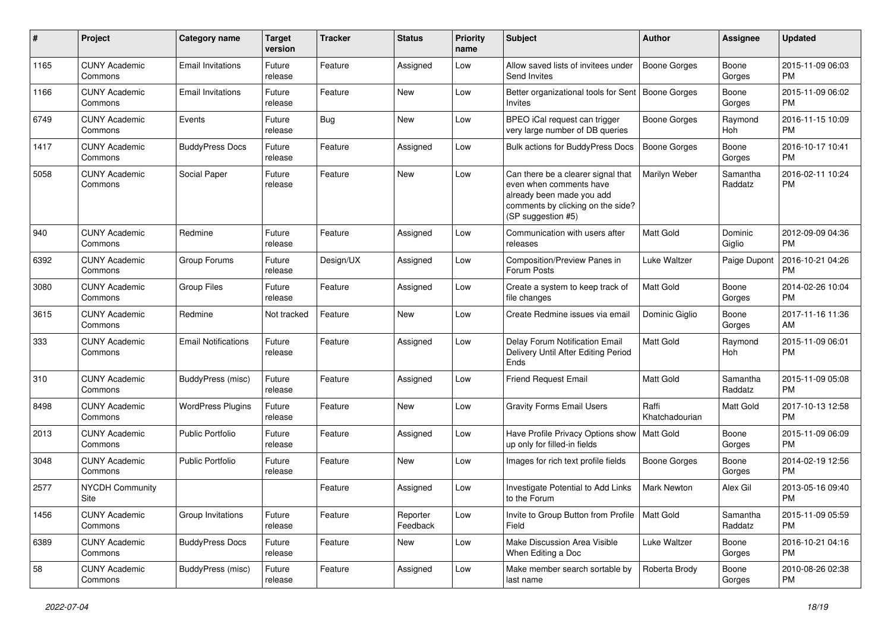| $\#$ | Project                         | Category name              | <b>Target</b><br>version | <b>Tracker</b> | <b>Status</b>        | <b>Priority</b><br>name | <b>Subject</b>                                                                                                                                        | Author                  | <b>Assignee</b>     | <b>Updated</b>                |
|------|---------------------------------|----------------------------|--------------------------|----------------|----------------------|-------------------------|-------------------------------------------------------------------------------------------------------------------------------------------------------|-------------------------|---------------------|-------------------------------|
| 1165 | <b>CUNY Academic</b><br>Commons | <b>Email Invitations</b>   | Future<br>release        | Feature        | Assigned             | Low                     | Allow saved lists of invitees under<br>Send Invites                                                                                                   | <b>Boone Gorges</b>     | Boone<br>Gorges     | 2015-11-09 06:03<br><b>PM</b> |
| 1166 | <b>CUNY Academic</b><br>Commons | <b>Email Invitations</b>   | Future<br>release        | Feature        | New                  | Low                     | Better organizational tools for Sent   Boone Gorges<br><b>Invites</b>                                                                                 |                         | Boone<br>Gorges     | 2015-11-09 06:02<br><b>PM</b> |
| 6749 | <b>CUNY Academic</b><br>Commons | Events                     | Future<br>release        | Bug            | <b>New</b>           | Low                     | BPEO iCal request can trigger<br>very large number of DB queries                                                                                      | Boone Gorges            | Raymond<br>Hoh      | 2016-11-15 10:09<br><b>PM</b> |
| 1417 | <b>CUNY Academic</b><br>Commons | <b>BuddyPress Docs</b>     | Future<br>release        | Feature        | Assigned             | Low                     | <b>Bulk actions for BuddyPress Docs</b>                                                                                                               | <b>Boone Gorges</b>     | Boone<br>Gorges     | 2016-10-17 10:41<br><b>PM</b> |
| 5058 | <b>CUNY Academic</b><br>Commons | Social Paper               | Future<br>release        | Feature        | <b>New</b>           | Low                     | Can there be a clearer signal that<br>even when comments have<br>already been made you add<br>comments by clicking on the side?<br>(SP suggestion #5) | Marilyn Weber           | Samantha<br>Raddatz | 2016-02-11 10:24<br><b>PM</b> |
| 940  | <b>CUNY Academic</b><br>Commons | Redmine                    | Future<br>release        | Feature        | Assigned             | Low                     | Communication with users after<br>releases                                                                                                            | <b>Matt Gold</b>        | Dominic<br>Giglio   | 2012-09-09 04:36<br><b>PM</b> |
| 6392 | <b>CUNY Academic</b><br>Commons | Group Forums               | Future<br>release        | Design/UX      | Assigned             | Low                     | Composition/Preview Panes in<br>Forum Posts                                                                                                           | Luke Waltzer            | Paige Dupont        | 2016-10-21 04:26<br><b>PM</b> |
| 3080 | <b>CUNY Academic</b><br>Commons | <b>Group Files</b>         | Future<br>release        | Feature        | Assigned             | Low                     | Create a system to keep track of<br>file changes                                                                                                      | Matt Gold               | Boone<br>Gorges     | 2014-02-26 10:04<br><b>PM</b> |
| 3615 | <b>CUNY Academic</b><br>Commons | Redmine                    | Not tracked              | Feature        | New                  | Low                     | Create Redmine issues via email                                                                                                                       | Dominic Giglio          | Boone<br>Gorges     | 2017-11-16 11:36<br>AM        |
| 333  | <b>CUNY Academic</b><br>Commons | <b>Email Notifications</b> | Future<br>release        | Feature        | Assigned             | Low                     | Delay Forum Notification Email<br>Delivery Until After Editing Period<br>Ends                                                                         | Matt Gold               | Raymond<br>Hoh      | 2015-11-09 06:01<br><b>PM</b> |
| 310  | <b>CUNY Academic</b><br>Commons | BuddyPress (misc)          | Future<br>release        | Feature        | Assigned             | Low                     | <b>Friend Request Email</b>                                                                                                                           | <b>Matt Gold</b>        | Samantha<br>Raddatz | 2015-11-09 05:08<br><b>PM</b> |
| 8498 | <b>CUNY Academic</b><br>Commons | <b>WordPress Plugins</b>   | Future<br>release        | Feature        | <b>New</b>           | Low                     | <b>Gravity Forms Email Users</b>                                                                                                                      | Raffi<br>Khatchadourian | Matt Gold           | 2017-10-13 12:58<br><b>PM</b> |
| 2013 | <b>CUNY Academic</b><br>Commons | Public Portfolio           | Future<br>release        | Feature        | Assigned             | Low                     | Have Profile Privacy Options show   Matt Gold<br>up only for filled-in fields                                                                         |                         | Boone<br>Gorges     | 2015-11-09 06:09<br><b>PM</b> |
| 3048 | <b>CUNY Academic</b><br>Commons | <b>Public Portfolio</b>    | Future<br>release        | Feature        | New                  | Low                     | Images for rich text profile fields                                                                                                                   | <b>Boone Gorges</b>     | Boone<br>Gorges     | 2014-02-19 12:56<br><b>PM</b> |
| 2577 | <b>NYCDH Community</b><br>Site  |                            |                          | Feature        | Assigned             | Low                     | Investigate Potential to Add Links<br>to the Forum                                                                                                    | Mark Newton             | Alex Gil            | 2013-05-16 09:40<br><b>PM</b> |
| 1456 | <b>CUNY Academic</b><br>Commons | Group Invitations          | Future<br>release        | Feature        | Reporter<br>Feedback | Low                     | Invite to Group Button from Profile<br>Field                                                                                                          | Matt Gold               | Samantha<br>Raddatz | 2015-11-09 05:59<br><b>PM</b> |
| 6389 | <b>CUNY Academic</b><br>Commons | <b>BuddyPress Docs</b>     | Future<br>release        | Feature        | New                  | Low                     | Make Discussion Area Visible<br>When Editing a Doc                                                                                                    | Luke Waltzer            | Boone<br>Gorges     | 2016-10-21 04:16<br><b>PM</b> |
| 58   | <b>CUNY Academic</b><br>Commons | BuddyPress (misc)          | Future<br>release        | Feature        | Assigned             | Low                     | Make member search sortable by<br>last name                                                                                                           | Roberta Brody           | Boone<br>Gorges     | 2010-08-26 02:38<br><b>PM</b> |